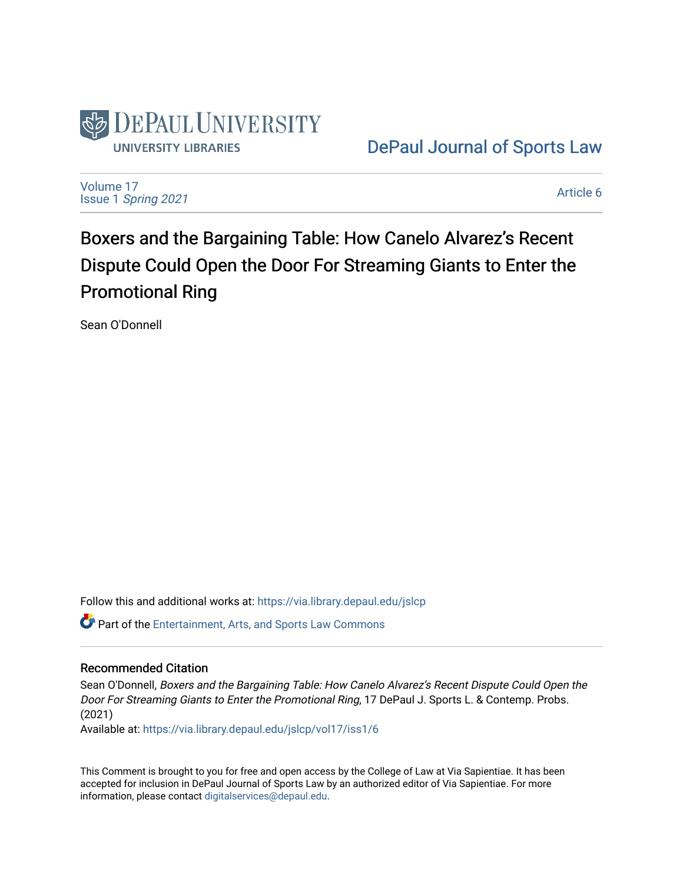

[DePaul Journal of Sports Law](https://via.library.depaul.edu/jslcp) 

[Volume 17](https://via.library.depaul.edu/jslcp/vol17) Issue 1 [Spring 2021](https://via.library.depaul.edu/jslcp/vol17/iss1) 

[Article 6](https://via.library.depaul.edu/jslcp/vol17/iss1/6) 

Boxers and the Bargaining Table: How Canelo Alvarez's Recent Dispute Could Open the Door For Streaming Giants to Enter the Promotional Ring

Sean O'Donnell

Follow this and additional works at: [https://via.library.depaul.edu/jslcp](https://via.library.depaul.edu/jslcp?utm_source=via.library.depaul.edu%2Fjslcp%2Fvol17%2Fiss1%2F6&utm_medium=PDF&utm_campaign=PDFCoverPages) 

**P** Part of the [Entertainment, Arts, and Sports Law Commons](http://network.bepress.com/hgg/discipline/893?utm_source=via.library.depaul.edu%2Fjslcp%2Fvol17%2Fiss1%2F6&utm_medium=PDF&utm_campaign=PDFCoverPages)

# Recommended Citation

Sean O'Donnell, Boxers and the Bargaining Table: How Canelo Alvarez's Recent Dispute Could Open the Door For Streaming Giants to Enter the Promotional Ring, 17 DePaul J. Sports L. & Contemp. Probs. (2021)

Available at: [https://via.library.depaul.edu/jslcp/vol17/iss1/6](https://via.library.depaul.edu/jslcp/vol17/iss1/6?utm_source=via.library.depaul.edu%2Fjslcp%2Fvol17%2Fiss1%2F6&utm_medium=PDF&utm_campaign=PDFCoverPages) 

This Comment is brought to you for free and open access by the College of Law at Via Sapientiae. It has been accepted for inclusion in DePaul Journal of Sports Law by an authorized editor of Via Sapientiae. For more information, please contact [digitalservices@depaul.edu](mailto:digitalservices@depaul.edu).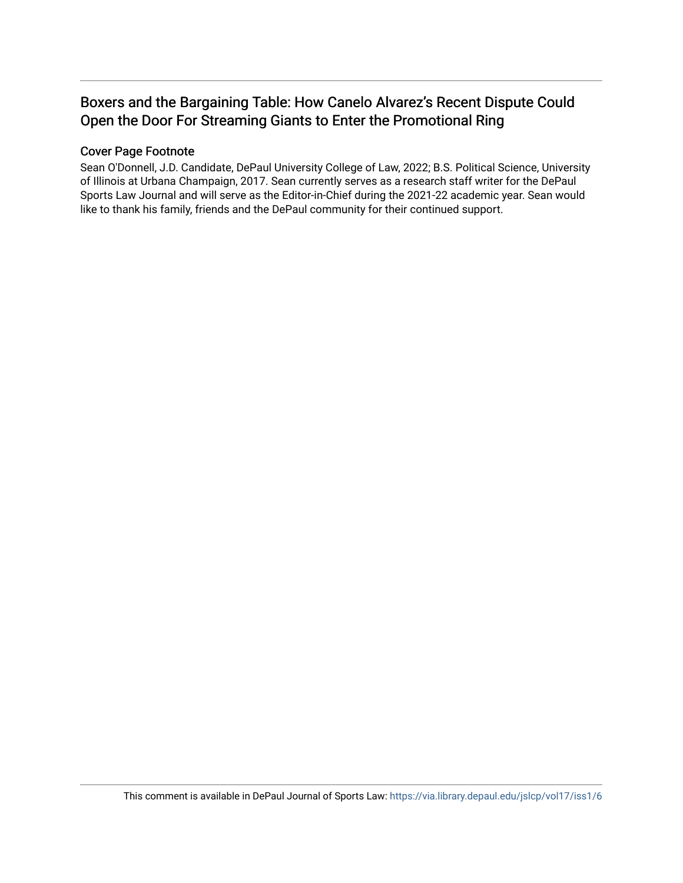# Boxers and the Bargaining Table: How Canelo Alvarez's Recent Dispute Could Open the Door For Streaming Giants to Enter the Promotional Ring

# Cover Page Footnote

Sean O'Donnell, J.D. Candidate, DePaul University College of Law, 2022; B.S. Political Science, University of Illinois at Urbana Champaign, 2017. Sean currently serves as a research staff writer for the DePaul Sports Law Journal and will serve as the Editor-in-Chief during the 2021-22 academic year. Sean would like to thank his family, friends and the DePaul community for their continued support.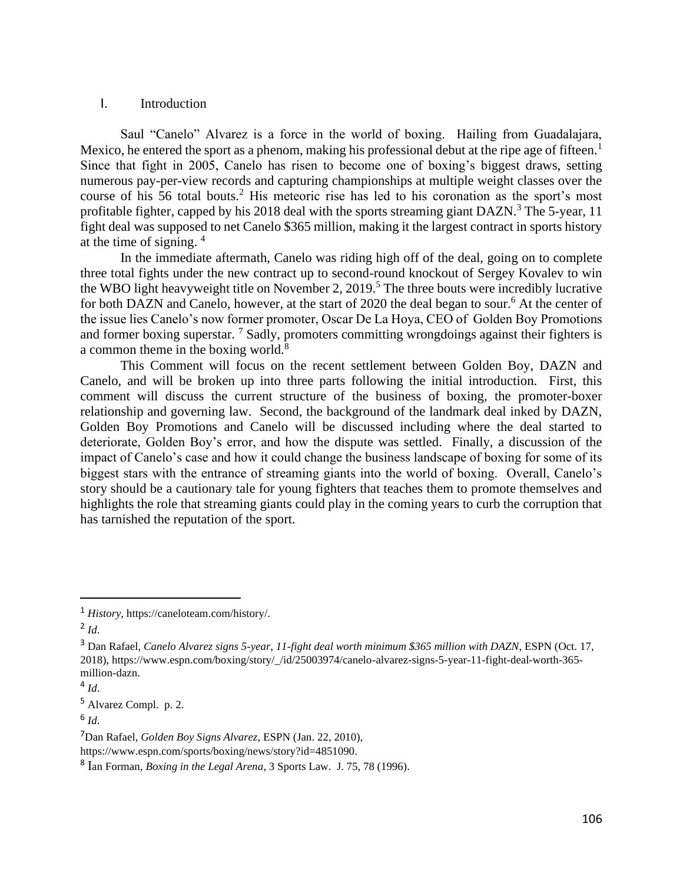## I. Introduction

Saul "Canelo" Alvarez is a force in the world of boxing. Hailing from Guadalajara, Mexico, he entered the sport as a phenom, making his professional debut at the ripe age of fifteen.<sup>1</sup> Since that fight in 2005, Canelo has risen to become one of boxing's biggest draws, setting numerous pay-per-view records and capturing championships at multiple weight classes over the course of his 56 total bouts.<sup>2</sup> His meteoric rise has led to his coronation as the sport's most profitable fighter, capped by his 2018 deal with the sports streaming giant  $DAZN<sup>3</sup>$ . The 5-year, 11 fight deal was supposed to net Canelo \$365 million, making it the largest contract in sports history at the time of signing. <sup>4</sup>

In the immediate aftermath, Canelo was riding high off of the deal, going on to complete three total fights under the new contract up to second-round knockout of Sergey Kovalev to win the WBO light heavyweight title on November 2, 2019.<sup>5</sup> The three bouts were incredibly lucrative for both DAZN and Canelo, however, at the start of 2020 the deal began to sour.<sup>6</sup> At the center of the issue lies Canelo's now former promoter, Oscar De La Hoya, CEO of Golden Boy Promotions and former boxing superstar.  $\frac{7}{5}$  Sadly, promoters committing wrongdoings against their fighters is a common theme in the boxing world. $8$ 

This Comment will focus on the recent settlement between Golden Boy, DAZN and Canelo, and will be broken up into three parts following the initial introduction. First, this comment will discuss the current structure of the business of boxing, the promoter-boxer relationship and governing law. Second, the background of the landmark deal inked by DAZN, Golden Boy Promotions and Canelo will be discussed including where the deal started to deteriorate, Golden Boy's error, and how the dispute was settled. Finally, a discussion of the impact of Canelo's case and how it could change the business landscape of boxing for some of its biggest stars with the entrance of streaming giants into the world of boxing. Overall, Canelo's story should be a cautionary tale for young fighters that teaches them to promote themselves and highlights the role that streaming giants could play in the coming years to curb the corruption that has tarnished the reputation of the sport.

<sup>1</sup> *History*, https://caneloteam.com/history/.

<sup>2</sup> *Id*.

<sup>3</sup> Dan Rafael, *Canelo Alvarez signs 5-year, 11-fight deal worth minimum \$365 million with DAZN*, ESPN (Oct. 17, 2018), https://www.espn.com/boxing/story/\_/id/25003974/canelo-alvarez-signs-5-year-11-fight-deal-worth-365 million-dazn.

<sup>4</sup> *Id*.

<sup>5</sup> Alvarez Compl. p. 2.

<sup>6</sup> *Id*.

<sup>7</sup>Dan Rafael, *Golden Boy Signs Alvarez*, ESPN (Jan. 22, 2010),

https://www.espn.com/sports/boxing/news/story?id=4851090.

<sup>8</sup> Ian Forman, *Boxing in the Legal Arena*, 3 Sports Law. J. 75, 78 (1996).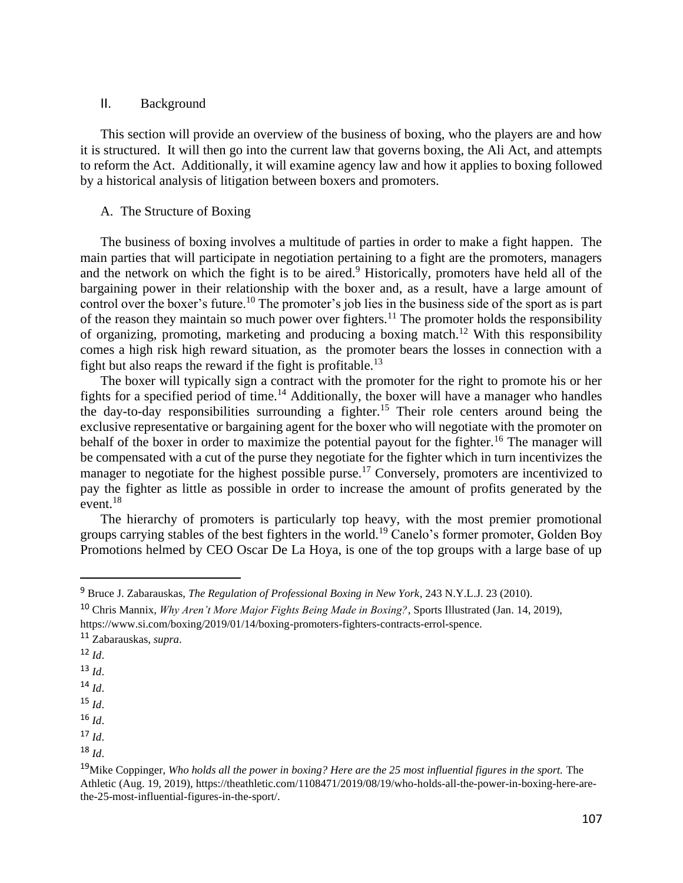#### II. Background

This section will provide an overview of the business of boxing, who the players are and how it is structured. It will then go into the current law that governs boxing, the Ali Act, and attempts to reform the Act. Additionally, it will examine agency law and how it applies to boxing followed by a historical analysis of litigation between boxers and promoters.

### A. The Structure of Boxing

The business of boxing involves a multitude of parties in order to make a fight happen. The main parties that will participate in negotiation pertaining to a fight are the promoters, managers and the network on which the fight is to be aired.<sup>9</sup> Historically, promoters have held all of the bargaining power in their relationship with the boxer and, as a result, have a large amount of control over the boxer's future.<sup>10</sup> The promoter's job lies in the business side of the sport as is part of the reason they maintain so much power over fighters.<sup>11</sup> The promoter holds the responsibility of organizing, promoting, marketing and producing a boxing match.<sup>12</sup> With this responsibility comes a high risk high reward situation, as the promoter bears the losses in connection with a fight but also reaps the reward if the fight is profitable.<sup>13</sup>

The boxer will typically sign a contract with the promoter for the right to promote his or her fights for a specified period of time.<sup>14</sup> Additionally, the boxer will have a manager who handles the day-to-day responsibilities surrounding a fighter.<sup>15</sup> Their role centers around being the exclusive representative or bargaining agent for the boxer who will negotiate with the promoter on behalf of the boxer in order to maximize the potential payout for the fighter.<sup>16</sup> The manager will be compensated with a cut of the purse they negotiate for the fighter which in turn incentivizes the manager to negotiate for the highest possible purse.<sup>17</sup> Conversely, promoters are incentivized to pay the fighter as little as possible in order to increase the amount of profits generated by the event. $^{18}$ 

The hierarchy of promoters is particularly top heavy, with the most premier promotional groups carrying stables of the best fighters in the world.<sup>19</sup> Canelo's former promoter, Golden Boy Promotions helmed by CEO Oscar De La Hoya, is one of the top groups with a large base of up

- $12 \, \text{Id}$
- <sup>13</sup> *Id*.
- $14 \, M$
- $15$  *Id.*
- $16$  *Id.*
- <sup>17</sup> *Id*.
- <sup>18</sup> *Id*.

<sup>9</sup> Bruce J. Zabarauskas, *The Regulation of Professional Boxing in New York*, 243 N.Y.L.J. 23 (2010).

<sup>10</sup> Chris Mannix, *Why Aren't More Major Fights Being Made in Boxing?*, Sports Illustrated (Jan. 14, 2019), https://www.si.com/boxing/2019/01/14/boxing-promoters-fighters-contracts-errol-spence.

<sup>11</sup> Zabarauskas, *supra*.

<sup>&</sup>lt;sup>19</sup>Mike Coppinger, *Who holds all the power in boxing? Here are the 25 most influential figures in the sport. The* Athletic (Aug. 19, 2019), https://theathletic.com/1108471/2019/08/19/who-holds-all-the-power-in-boxing-here-arethe-25-most-influential-figures-in-the-sport/.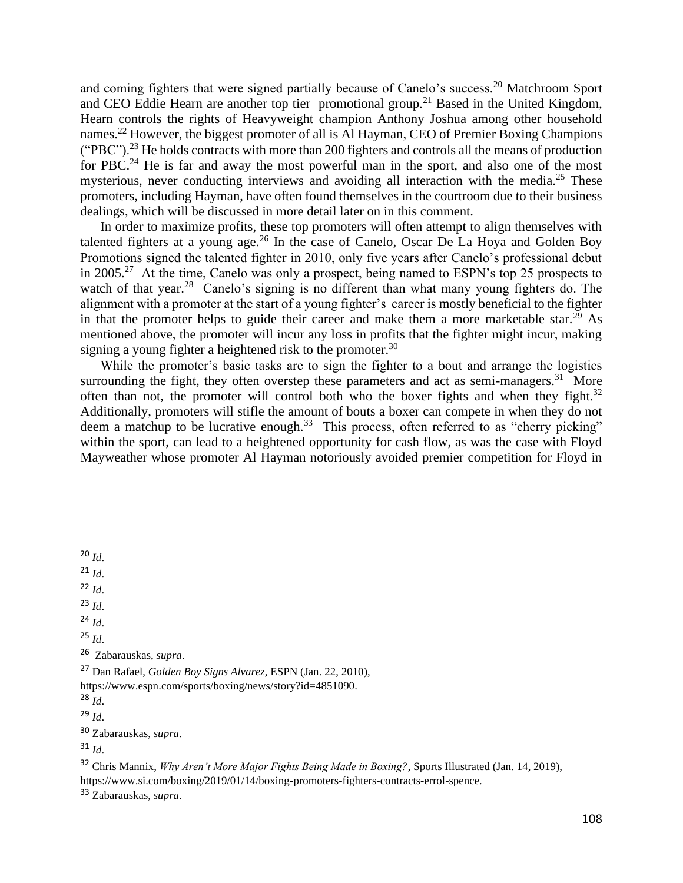and coming fighters that were signed partially because of Canelo's success.<sup>20</sup> Matchroom Sport and CEO Eddie Hearn are another top tier promotional group.<sup>21</sup> Based in the United Kingdom, Hearn controls the rights of Heavyweight champion Anthony Joshua among other household names.<sup>22</sup> However, the biggest promoter of all is Al Hayman, CEO of Premier Boxing Champions ("PBC").<sup>23</sup> He holds contracts with more than 200 fighters and controls all the means of production for PBC.<sup>24</sup> He is far and away the most powerful man in the sport, and also one of the most mysterious, never conducting interviews and avoiding all interaction with the media.<sup>25</sup> These promoters, including Hayman, have often found themselves in the courtroom due to their business dealings, which will be discussed in more detail later on in this comment.

In order to maximize profits, these top promoters will often attempt to align themselves with talented fighters at a young age.<sup>26</sup> In the case of Canelo, Oscar De La Hoya and Golden Boy Promotions signed the talented fighter in 2010, only five years after Canelo's professional debut in 2005.<sup>27</sup> At the time, Canelo was only a prospect, being named to ESPN's top 25 prospects to watch of that year.<sup>28</sup> Canelo's signing is no different than what many young fighters do. The alignment with a promoter at the start of a young fighter's career is mostly beneficial to the fighter in that the promoter helps to guide their career and make them a more marketable star.<sup>29</sup> As mentioned above, the promoter will incur any loss in profits that the fighter might incur, making signing a young fighter a heightened risk to the promoter.<sup>30</sup>

While the promoter's basic tasks are to sign the fighter to a bout and arrange the logistics surrounding the fight, they often overstep these parameters and act as semi-managers.<sup>31</sup> More often than not, the promoter will control both who the boxer fights and when they fight. $32$ Additionally, promoters will stifle the amount of bouts a boxer can compete in when they do not deem a matchup to be lucrative enough.<sup>33</sup> This process, often referred to as "cherry picking" within the sport, can lead to a heightened opportunity for cash flow, as was the case with Floyd Mayweather whose promoter Al Hayman notoriously avoided premier competition for Floyd in

 $^{21}$  *Id.* 

 $22 \, Id$ 

<sup>23</sup> *Id*.

 $^{24}$  *Id*.

<sup>25</sup> *Id*.

26 Zabarauskas, *supra*.

<sup>27</sup> Dan Rafael, *Golden Boy Signs Alvarez*, ESPN (Jan. 22, 2010), https://www.espn.com/sports/boxing/news/story?id=4851090.

<sup>30</sup> Zabarauskas, *supra*.

<sup>32</sup> Chris Mannix, *Why Aren't More Major Fights Being Made in Boxing?*, Sports Illustrated (Jan. 14, 2019), https://www.si.com/boxing/2019/01/14/boxing-promoters-fighters-contracts-errol-spence.

<sup>33</sup> Zabarauskas, *supra*.

 $^{20}$  *Id.* 

<sup>28</sup> *Id*.

 $^{29}$  *Id.* 

<sup>31</sup> *Id*.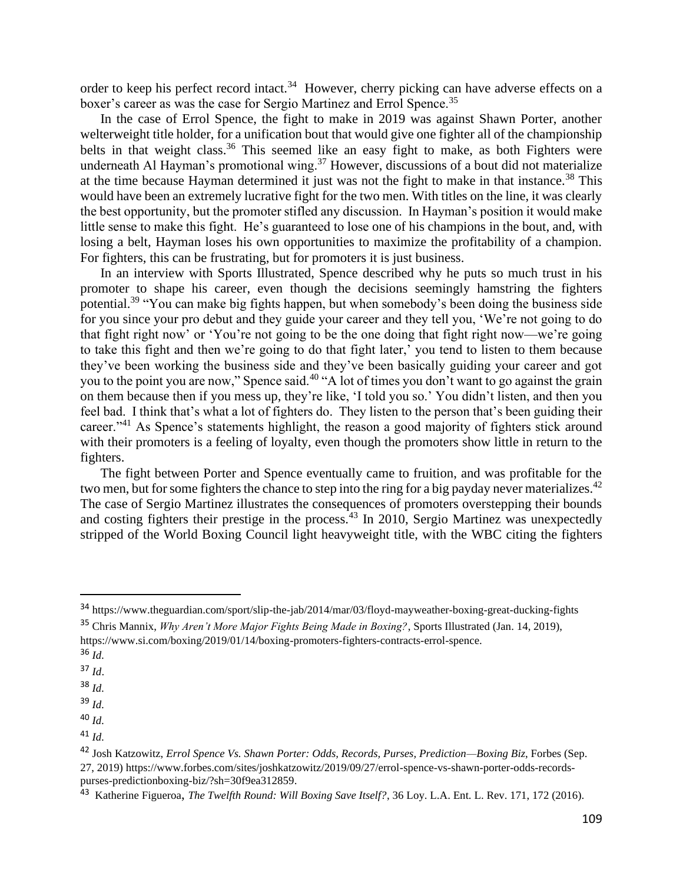order to keep his perfect record intact.<sup>34</sup> However, cherry picking can have adverse effects on a boxer's career as was the case for Sergio Martinez and Errol Spence.<sup>35</sup>

In the case of Errol Spence, the fight to make in 2019 was against Shawn Porter, another welterweight title holder, for a unification bout that would give one fighter all of the championship belts in that weight class.<sup>36</sup> This seemed like an easy fight to make, as both Fighters were underneath Al Hayman's promotional wing.<sup>37</sup> However, discussions of a bout did not materialize at the time because Hayman determined it just was not the fight to make in that instance.<sup>38</sup> This would have been an extremely lucrative fight for the two men. With titles on the line, it was clearly the best opportunity, but the promoter stifled any discussion. In Hayman's position it would make little sense to make this fight. He's guaranteed to lose one of his champions in the bout, and, with losing a belt, Hayman loses his own opportunities to maximize the profitability of a champion. For fighters, this can be frustrating, but for promoters it is just business.

In an interview with Sports Illustrated, Spence described why he puts so much trust in his promoter to shape his career, even though the decisions seemingly hamstring the fighters potential.<sup>39</sup> "You can make big fights happen, but when somebody's been doing the business side for you since your pro debut and they guide your career and they tell you, 'We're not going to do that fight right now' or 'You're not going to be the one doing that fight right now—we're going to take this fight and then we're going to do that fight later,' you tend to listen to them because they've been working the business side and they've been basically guiding your career and got you to the point you are now," Spence said.<sup>40</sup> "A lot of times you don't want to go against the grain on them because then if you mess up, they're like, 'I told you so.' You didn't listen, and then you feel bad. I think that's what a lot of fighters do. They listen to the person that's been guiding their career."<sup>41</sup> As Spence's statements highlight, the reason a good majority of fighters stick around with their promoters is a feeling of loyalty, even though the promoters show little in return to the fighters.

The fight between Porter and Spence eventually came to fruition, and was profitable for the two men, but for some fighters the chance to step into the ring for a big payday never materializes.<sup>42</sup> The case of Sergio Martinez illustrates the consequences of promoters overstepping their bounds and costing fighters their prestige in the process.<sup>43</sup> In 2010, Sergio Martinez was unexpectedly stripped of the World Boxing Council light heavyweight title, with the WBC citing the fighters

- <sup>36</sup> *Id.*
- <sup>37</sup> *Id*.
- <sup>38</sup> *Id.*
- <sup>39</sup> *Id.*
- <sup>40</sup> *Id.*
- <sup>41</sup> *Id.*

<sup>34</sup> https://www.theguardian.com/sport/slip-the-jab/2014/mar/03/floyd-mayweather-boxing-great-ducking-fights

<sup>35</sup> Chris Mannix, *Why Aren't More Major Fights Being Made in Boxing?*, Sports Illustrated (Jan. 14, 2019), https://www.si.com/boxing/2019/01/14/boxing-promoters-fighters-contracts-errol-spence.

<sup>42</sup> Josh Katzowitz, *Errol Spence Vs. Shawn Porter: Odds, Records, Purses, Prediction—Boxing Biz*, Forbes (Sep. 27, 2019) https://www.forbes.com/sites/joshkatzowitz/2019/09/27/errol-spence-vs-shawn-porter-odds-recordspurses-predictionboxing-biz/?sh=30f9ea312859.

<sup>43</sup> Katherine Figueroa, *The Twelfth Round: Will Boxing Save Itself?*, 36 Loy. L.A. Ent. L. Rev. 171, 172 (2016).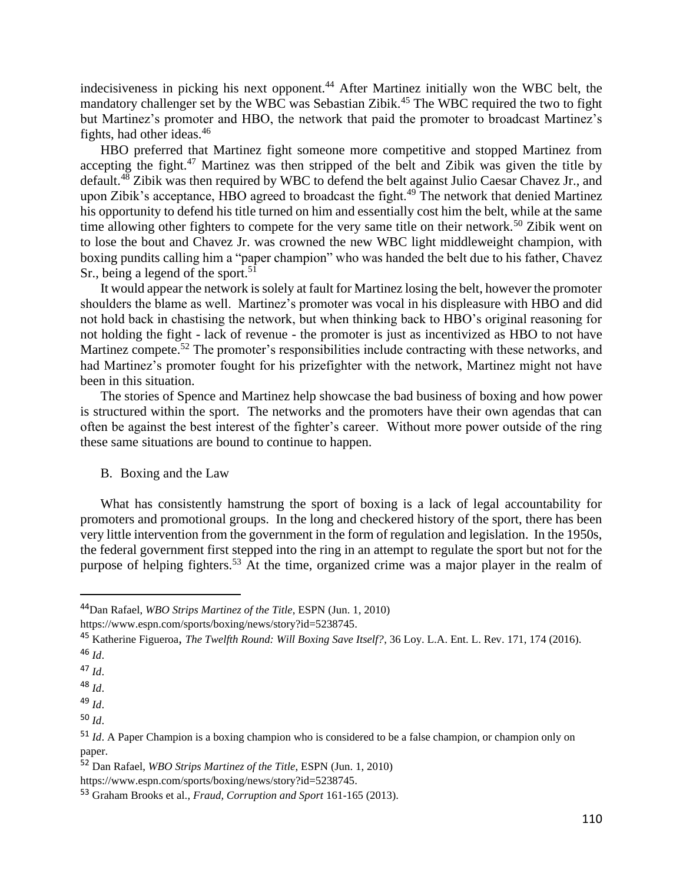indecisiveness in picking his next opponent.<sup>44</sup> After Martinez initially won the WBC belt, the mandatory challenger set by the WBC was Sebastian Zibik.<sup>45</sup> The WBC required the two to fight but Martinez's promoter and HBO, the network that paid the promoter to broadcast Martinez's fights, had other ideas.<sup>46</sup>

HBO preferred that Martinez fight someone more competitive and stopped Martinez from accepting the fight.<sup>47</sup> Martinez was then stripped of the belt and Zibik was given the title by default.<sup>48</sup> Zibik was then required by WBC to defend the belt against Julio Caesar Chavez Jr., and upon Zibik's acceptance, HBO agreed to broadcast the fight.<sup>49</sup> The network that denied Martinez his opportunity to defend his title turned on him and essentially cost him the belt, while at the same time allowing other fighters to compete for the very same title on their network.<sup>50</sup> Zibik went on to lose the bout and Chavez Jr. was crowned the new WBC light middleweight champion, with boxing pundits calling him a "paper champion" who was handed the belt due to his father, Chavez Sr., being a legend of the sport.<sup>51</sup>

It would appear the network is solely at fault for Martinez losing the belt, however the promoter shoulders the blame as well. Martinez's promoter was vocal in his displeasure with HBO and did not hold back in chastising the network, but when thinking back to HBO's original reasoning for not holding the fight - lack of revenue - the promoter is just as incentivized as HBO to not have Martinez compete.<sup>52</sup> The promoter's responsibilities include contracting with these networks, and had Martinez's promoter fought for his prizefighter with the network, Martinez might not have been in this situation.

The stories of Spence and Martinez help showcase the bad business of boxing and how power is structured within the sport. The networks and the promoters have their own agendas that can often be against the best interest of the fighter's career. Without more power outside of the ring these same situations are bound to continue to happen.

B. Boxing and the Law

What has consistently hamstrung the sport of boxing is a lack of legal accountability for promoters and promotional groups. In the long and checkered history of the sport, there has been very little intervention from the government in the form of regulation and legislation. In the 1950s, the federal government first stepped into the ring in an attempt to regulate the sport but not for the purpose of helping fighters.<sup>53</sup> At the time, organized crime was a major player in the realm of

<sup>44</sup>Dan Rafael, *WBO Strips Martinez of the Title*, ESPN (Jun. 1, 2010)

https://www.espn.com/sports/boxing/news/story?id=5238745.

<sup>45</sup> Katherine Figueroa, *The Twelfth Round: Will Boxing Save Itself?*, 36 Loy. L.A. Ent. L. Rev. 171, 174 (2016). <sup>46</sup> *Id*.

<sup>47</sup> *Id*.

<sup>48</sup> *Id*.

<sup>49</sup> *Id*.

<sup>50</sup> *Id*.

<sup>&</sup>lt;sup>51</sup> *Id.* A Paper Champion is a boxing champion who is considered to be a false champion, or champion only on paper.

<sup>52</sup> Dan Rafael, *WBO Strips Martinez of the Title*, ESPN (Jun. 1, 2010)

https://www.espn.com/sports/boxing/news/story?id=5238745.

<sup>53</sup> Graham Brooks et al., *Fraud, Corruption and Sport* 161-165 (2013).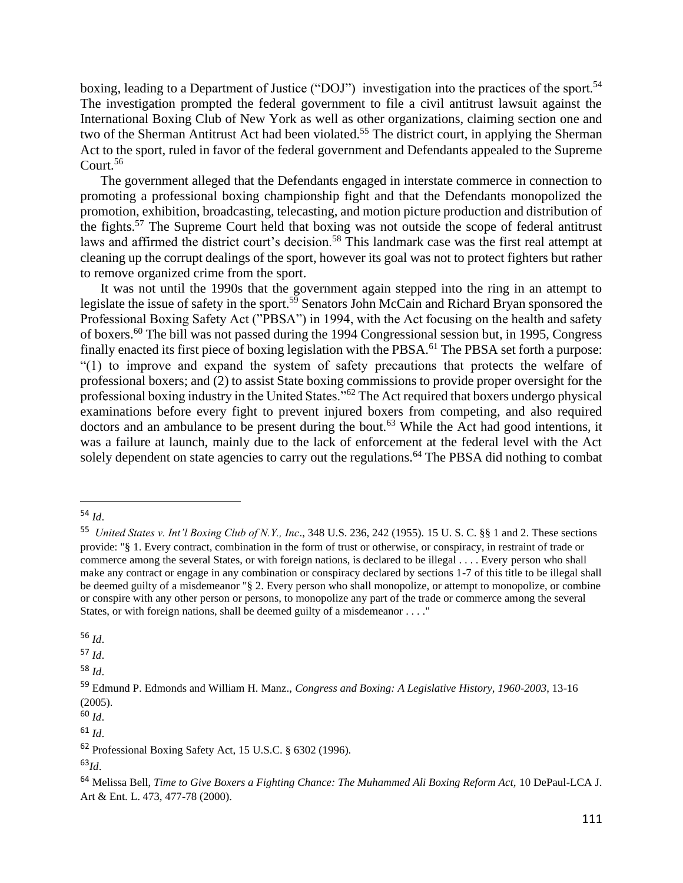boxing, leading to a Department of Justice ("DOJ") investigation into the practices of the sport.<sup>54</sup> The investigation prompted the federal government to file a civil antitrust lawsuit against the International Boxing Club of New York as well as other organizations, claiming section one and two of the Sherman Antitrust Act had been violated.<sup>55</sup> The district court, in applying the Sherman Act to the sport, ruled in favor of the federal government and Defendants appealed to the Supreme Court.<sup>56</sup>

The government alleged that the Defendants engaged in interstate commerce in connection to promoting a professional boxing championship fight and that the Defendants monopolized the promotion, exhibition, broadcasting, telecasting, and motion picture production and distribution of the fights.<sup>57</sup> The Supreme Court held that boxing was not outside the scope of federal antitrust laws and affirmed the district court's decision.<sup>58</sup> This landmark case was the first real attempt at cleaning up the corrupt dealings of the sport, however its goal was not to protect fighters but rather to remove organized crime from the sport.

It was not until the 1990s that the government again stepped into the ring in an attempt to legislate the issue of safety in the sport.<sup>59</sup> Senators John McCain and Richard Bryan sponsored the Professional Boxing Safety Act ("PBSA") in 1994, with the Act focusing on the health and safety of boxers.<sup>60</sup> The bill was not passed during the 1994 Congressional session but, in 1995, Congress finally enacted its first piece of boxing legislation with the PBSA.<sup>61</sup> The PBSA set forth a purpose: "(1) to improve and expand the system of safety precautions that protects the welfare of professional boxers; and (2) to assist State boxing commissions to provide proper oversight for the professional boxing industry in the United States."<sup>62</sup> The Act required that boxers undergo physical examinations before every fight to prevent injured boxers from competing, and also required doctors and an ambulance to be present during the bout.<sup>63</sup> While the Act had good intentions, it was a failure at launch, mainly due to the lack of enforcement at the federal level with the Act solely dependent on state agencies to carry out the regulations.<sup>64</sup> The PBSA did nothing to combat

<sup>57</sup> *Id*.

<sup>58</sup> *Id*.

<sup>60</sup> *Id*.

<sup>54</sup> *Id*.

<sup>55</sup> *United States v. Int'l Boxing Club of N.Y., Inc*., 348 U.S. 236, 242 (1955). 15 U. S. C. §§ 1 and 2. These sections provide: "§ 1. Every contract, combination in the form of trust or otherwise, or conspiracy, in restraint of trade or commerce among the several States, or with foreign nations, is declared to be illegal . . . . Every person who shall make any contract or engage in any combination or conspiracy declared by sections 1-7 of this title to be illegal shall be deemed guilty of a misdemeanor "§ 2. Every person who shall monopolize, or attempt to monopolize, or combine or conspire with any other person or persons, to monopolize any part of the trade or commerce among the several States, or with foreign nations, shall be deemed guilty of a misdemeanor . . . ."

<sup>56</sup> *Id*.

<sup>59</sup> Edmund P. Edmonds and William H. Manz., *Congress and Boxing: A Legislative History, 1960-2003*, 13-16 (2005).

<sup>62</sup> Professional Boxing Safety Act, 15 U.S.C. § 6302 (1996).

<sup>63</sup>*Id*.

<sup>64</sup> Melissa Bell, *Time to Give Boxers a Fighting Chance: The Muhammed Ali Boxing Reform Act,* 10 DePaul-LCA J. Art & Ent. L. 473, 477-78 (2000).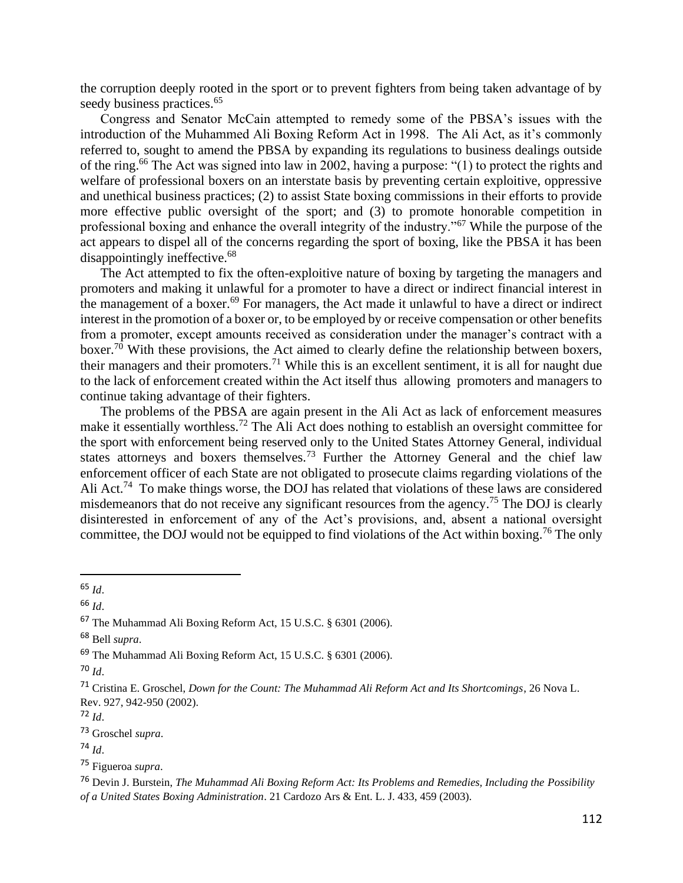the corruption deeply rooted in the sport or to prevent fighters from being taken advantage of by seedy business practices.<sup>65</sup>

Congress and Senator McCain attempted to remedy some of the PBSA's issues with the introduction of the Muhammed Ali Boxing Reform Act in 1998. The Ali Act, as it's commonly referred to, sought to amend the PBSA by expanding its regulations to business dealings outside of the ring.<sup>66</sup> The Act was signed into law in 2002, having a purpose: "(1) to protect the rights and welfare of professional boxers on an interstate basis by preventing certain exploitive, oppressive and unethical business practices; (2) to assist State boxing commissions in their efforts to provide more effective public oversight of the sport; and (3) to promote honorable competition in professional boxing and enhance the overall integrity of the industry."<sup>67</sup> While the purpose of the act appears to dispel all of the concerns regarding the sport of boxing, like the PBSA it has been disappointingly ineffective.<sup>68</sup>

The Act attempted to fix the often-exploitive nature of boxing by targeting the managers and promoters and making it unlawful for a promoter to have a direct or indirect financial interest in the management of a boxer.<sup>69</sup> For managers, the Act made it unlawful to have a direct or indirect interest in the promotion of a boxer or, to be employed by or receive compensation or other benefits from a promoter, except amounts received as consideration under the manager's contract with a boxer.<sup>70</sup> With these provisions, the Act aimed to clearly define the relationship between boxers, their managers and their promoters.<sup>71</sup> While this is an excellent sentiment, it is all for naught due to the lack of enforcement created within the Act itself thus allowing promoters and managers to continue taking advantage of their fighters.

The problems of the PBSA are again present in the Ali Act as lack of enforcement measures make it essentially worthless.<sup>72</sup> The Ali Act does nothing to establish an oversight committee for the sport with enforcement being reserved only to the United States Attorney General, individual states attorneys and boxers themselves.<sup>73</sup> Further the Attorney General and the chief law enforcement officer of each State are not obligated to prosecute claims regarding violations of the Ali Act.<sup>74</sup> To make things worse, the DOJ has related that violations of these laws are considered misdemeanors that do not receive any significant resources from the agency.<sup>75</sup> The DOJ is clearly disinterested in enforcement of any of the Act's provisions, and, absent a national oversight committee, the DOJ would not be equipped to find violations of the Act within boxing.<sup>76</sup> The only

<sup>70</sup> *Id*.

 $72$  *Id.* 

<sup>73</sup> Groschel *supra*.

<sup>74</sup> *Id*.

<sup>75</sup> Figueroa *supra*.

<sup>76</sup> Devin J. Burstein, *The Muhammad Ali Boxing Reform Act: Its Problems and Remedies, Including the Possibility of a United States Boxing Administration*. 21 Cardozo Ars & Ent. L. J. 433, 459 (2003).

<sup>65</sup> *Id*.

<sup>66</sup> *Id*.

<sup>67</sup> The Muhammad Ali Boxing Reform Act, 15 U.S.C. § 6301 (2006).

<sup>68</sup> Bell *supra*.

<sup>69</sup> The Muhammad Ali Boxing Reform Act, 15 U.S.C. § 6301 (2006).

<sup>71</sup> Cristina E. Groschel, *Down for the Count: The Muhammad Ali Reform Act and Its Shortcomings*, 26 Nova L. Rev. 927, 942-950 (2002).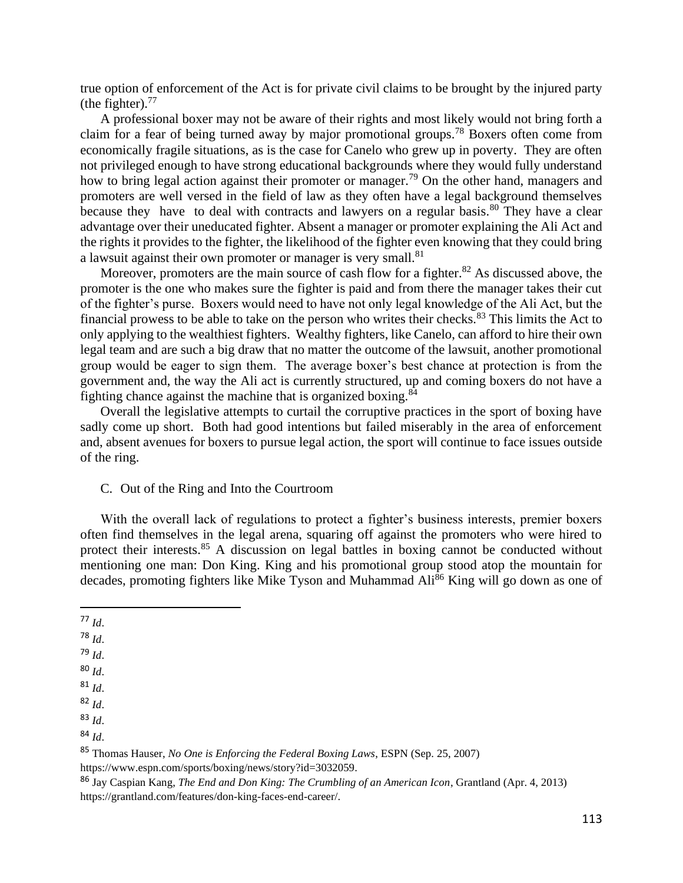true option of enforcement of the Act is for private civil claims to be brought by the injured party (the fighter). $^{77}$ 

A professional boxer may not be aware of their rights and most likely would not bring forth a claim for a fear of being turned away by major promotional groups.<sup>78</sup> Boxers often come from economically fragile situations, as is the case for Canelo who grew up in poverty. They are often not privileged enough to have strong educational backgrounds where they would fully understand how to bring legal action against their promoter or manager.<sup>79</sup> On the other hand, managers and promoters are well versed in the field of law as they often have a legal background themselves because they have to deal with contracts and lawyers on a regular basis. $80$  They have a clear advantage over their uneducated fighter. Absent a manager or promoter explaining the Ali Act and the rights it provides to the fighter, the likelihood of the fighter even knowing that they could bring a lawsuit against their own promoter or manager is very small.<sup>81</sup>

Moreover, promoters are the main source of cash flow for a fighter.<sup>82</sup> As discussed above, the promoter is the one who makes sure the fighter is paid and from there the manager takes their cut of the fighter's purse. Boxers would need to have not only legal knowledge of the Ali Act, but the financial prowess to be able to take on the person who writes their checks. $83$  This limits the Act to only applying to the wealthiest fighters. Wealthy fighters, like Canelo, can afford to hire their own legal team and are such a big draw that no matter the outcome of the lawsuit, another promotional group would be eager to sign them. The average boxer's best chance at protection is from the government and, the way the Ali act is currently structured, up and coming boxers do not have a fighting chance against the machine that is organized boxing.<sup>84</sup>

Overall the legislative attempts to curtail the corruptive practices in the sport of boxing have sadly come up short. Both had good intentions but failed miserably in the area of enforcement and, absent avenues for boxers to pursue legal action, the sport will continue to face issues outside of the ring.

# C. Out of the Ring and Into the Courtroom

With the overall lack of regulations to protect a fighter's business interests, premier boxers often find themselves in the legal arena, squaring off against the promoters who were hired to protect their interests.<sup>85</sup> A discussion on legal battles in boxing cannot be conducted without mentioning one man: Don King. King and his promotional group stood atop the mountain for decades, promoting fighters like Mike Tyson and Muhammad Ali<sup>86</sup> King will go down as one of

<sup>79</sup> *Id*.

- <sup>80</sup> *Id*.
- <sup>81</sup> *Id*.

<sup>82</sup> *Id*.

<sup>85</sup> Thomas Hauser, *No One is Enforcing the Federal Boxing Laws*, ESPN (Sep. 25, 2007) https://www.espn.com/sports/boxing/news/story?id=3032059.

<sup>77</sup> *Id*.

<sup>78</sup> *Id*.

<sup>83</sup> *Id*.

<sup>84</sup> *Id*.

<sup>86</sup> Jay Caspian Kang, *The End and Don King: The Crumbling of an American Icon*, Grantland (Apr. 4, 2013) https://grantland.com/features/don-king-faces-end-career/.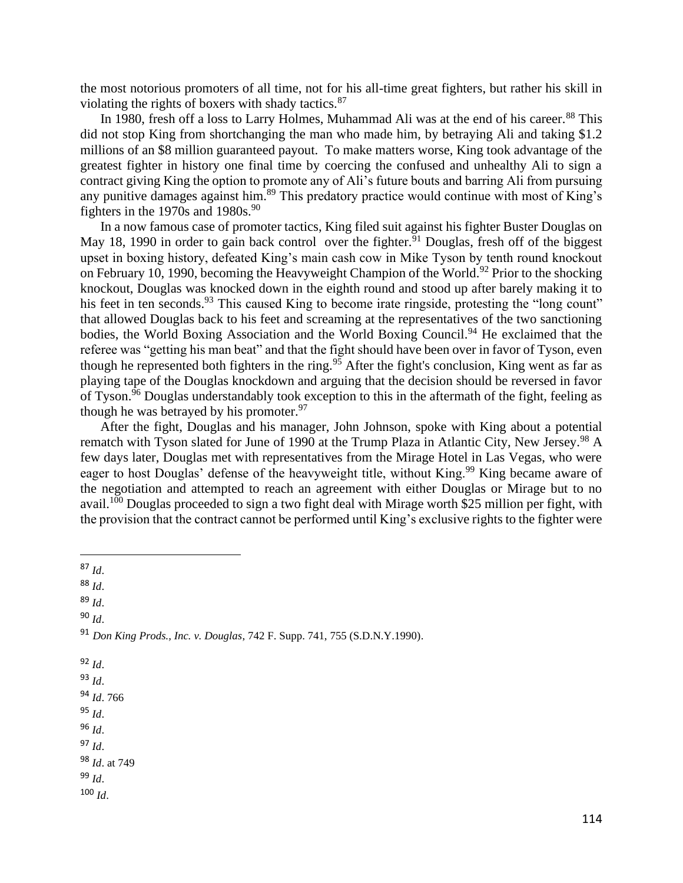the most notorious promoters of all time, not for his all-time great fighters, but rather his skill in violating the rights of boxers with shady tactics.<sup>87</sup>

In 1980, fresh off a loss to Larry Holmes, Muhammad Ali was at the end of his career.<sup>88</sup> This did not stop King from shortchanging the man who made him, by betraying Ali and taking \$1.2 millions of an \$8 million guaranteed payout. To make matters worse, King took advantage of the greatest fighter in history one final time by coercing the confused and unhealthy Ali to sign a contract giving King the option to promote any of Ali's future bouts and barring Ali from pursuing any punitive damages against him.<sup>89</sup> This predatory practice would continue with most of King's fighters in the 1970s and 1980s. $90$ 

In a now famous case of promoter tactics, King filed suit against his fighter Buster Douglas on May 18, 1990 in order to gain back control over the fighter.<sup>91</sup> Douglas, fresh off of the biggest upset in boxing history, defeated King's main cash cow in Mike Tyson by tenth round knockout on February 10, 1990, becoming the Heavyweight Champion of the World.<sup>92</sup> Prior to the shocking knockout, Douglas was knocked down in the eighth round and stood up after barely making it to his feet in ten seconds.<sup>93</sup> This caused King to become irate ringside, protesting the "long count" that allowed Douglas back to his feet and screaming at the representatives of the two sanctioning bodies, the World Boxing Association and the World Boxing Council.<sup>94</sup> He exclaimed that the referee was "getting his man beat" and that the fight should have been over in favor of Tyson, even though he represented both fighters in the ring.<sup>95</sup> After the fight's conclusion, King went as far as playing tape of the Douglas knockdown and arguing that the decision should be reversed in favor of Tyson.<sup>96</sup> Douglas understandably took exception to this in the aftermath of the fight, feeling as though he was betrayed by his promoter.  $97$ 

After the fight, Douglas and his manager, John Johnson, spoke with King about a potential rematch with Tyson slated for June of 1990 at the Trump Plaza in Atlantic City, New Jersey.<sup>98</sup> A few days later, Douglas met with representatives from the Mirage Hotel in Las Vegas, who were eager to host Douglas' defense of the heavyweight title, without King.<sup>99</sup> King became aware of the negotiation and attempted to reach an agreement with either Douglas or Mirage but to no avail.<sup>100</sup> Douglas proceeded to sign a two fight deal with Mirage worth \$25 million per fight, with the provision that the contract cannot be performed until King's exclusive rights to the fighter were

<sup>88</sup> *Id*.

<sup>89</sup> *Id*.

- <sup>92</sup> *Id*.
- <sup>93</sup> *Id*.
- <sup>94</sup> *Id*. 766
- <sup>95</sup> *Id*.
- <sup>96</sup> *Id*.

- <sup>98</sup> *Id*. at 749 <sup>99</sup> *Id*.
- $100$  *Id.*

<sup>87</sup> *Id*.

<sup>91</sup> *Don King Prods., Inc. v. Douglas*, 742 F. Supp. 741, 755 (S.D.N.Y.1990).

<sup>97</sup> *Id*.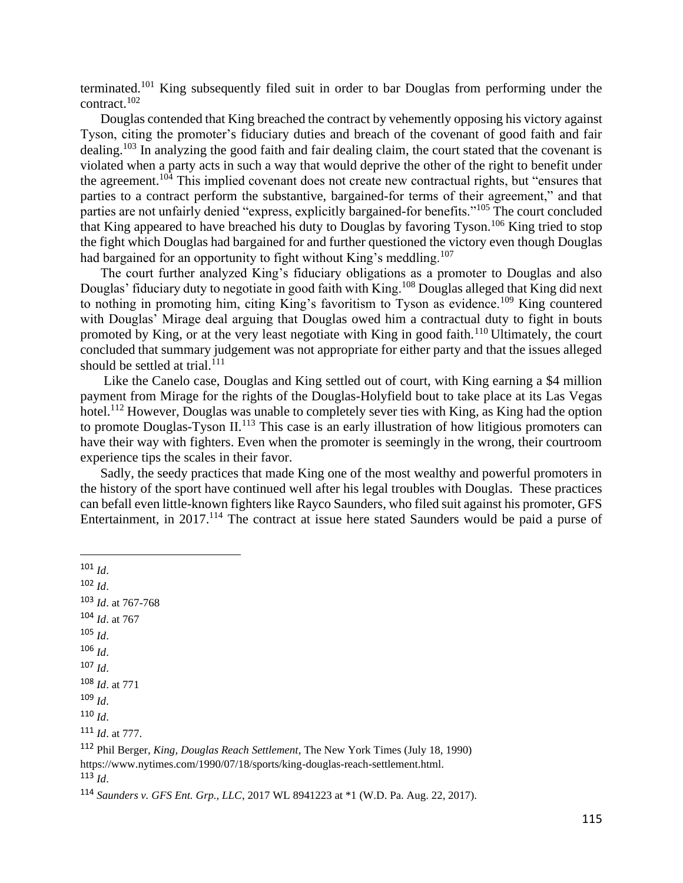terminated.<sup>101</sup> King subsequently filed suit in order to bar Douglas from performing under the contract.<sup>102</sup>

Douglas contended that King breached the contract by vehemently opposing his victory against Tyson, citing the promoter's fiduciary duties and breach of the covenant of good faith and fair dealing.<sup>103</sup> In analyzing the good faith and fair dealing claim, the court stated that the covenant is violated when a party acts in such a way that would deprive the other of the right to benefit under the agreement.<sup>104</sup> This implied covenant does not create new contractual rights, but "ensures that parties to a contract perform the substantive, bargained-for terms of their agreement," and that parties are not unfairly denied "express, explicitly bargained-for benefits."<sup>105</sup> The court concluded that King appeared to have breached his duty to Douglas by favoring Tyson.<sup>106</sup> King tried to stop the fight which Douglas had bargained for and further questioned the victory even though Douglas had bargained for an opportunity to fight without King's meddling.<sup>107</sup>

The court further analyzed King's fiduciary obligations as a promoter to Douglas and also Douglas' fiduciary duty to negotiate in good faith with King.<sup>108</sup> Douglas alleged that King did next to nothing in promoting him, citing King's favoritism to Tyson as evidence.<sup>109</sup> King countered with Douglas' Mirage deal arguing that Douglas owed him a contractual duty to fight in bouts promoted by King, or at the very least negotiate with King in good faith.<sup>110</sup> Ultimately, the court concluded that summary judgement was not appropriate for either party and that the issues alleged should be settled at trial. $111$ 

Like the Canelo case, Douglas and King settled out of court, with King earning a \$4 million payment from Mirage for the rights of the Douglas-Holyfield bout to take place at its Las Vegas hotel.<sup>112</sup> However, Douglas was unable to completely sever ties with King, as King had the option to promote Douglas-Tyson II.<sup>113</sup> This case is an early illustration of how litigious promoters can have their way with fighters. Even when the promoter is seemingly in the wrong, their courtroom experience tips the scales in their favor.

Sadly, the seedy practices that made King one of the most wealthy and powerful promoters in the history of the sport have continued well after his legal troubles with Douglas. These practices can befall even little-known fighters like Rayco Saunders, who filed suit against his promoter, GFS Entertainment, in 2017.<sup>114</sup> The contract at issue here stated Saunders would be paid a purse of

<sup>101</sup> *Id*.

<sup>102</sup> *Id*. <sup>103</sup> *Id*. at 767-768 <sup>104</sup> *Id*. at 767 <sup>105</sup> *Id*. <sup>106</sup> *Id*.  $107$  *Id.* <sup>108</sup> *Id*. at 771 <sup>109</sup> *Id*. <sup>110</sup> *Id*. <sup>111</sup> *Id*. at 777.

<sup>112</sup> Phil Berger, *King, Douglas Reach Settlement*, The New York Times (July 18, 1990) https://www.nytimes.com/1990/07/18/sports/king-douglas-reach-settlement.html. <sup>113</sup> *Id*.

<sup>114</sup> *Saunders v. GFS Ent. Grp., LLC*, 2017 WL 8941223 at \*1 (W.D. Pa. Aug. 22, 2017).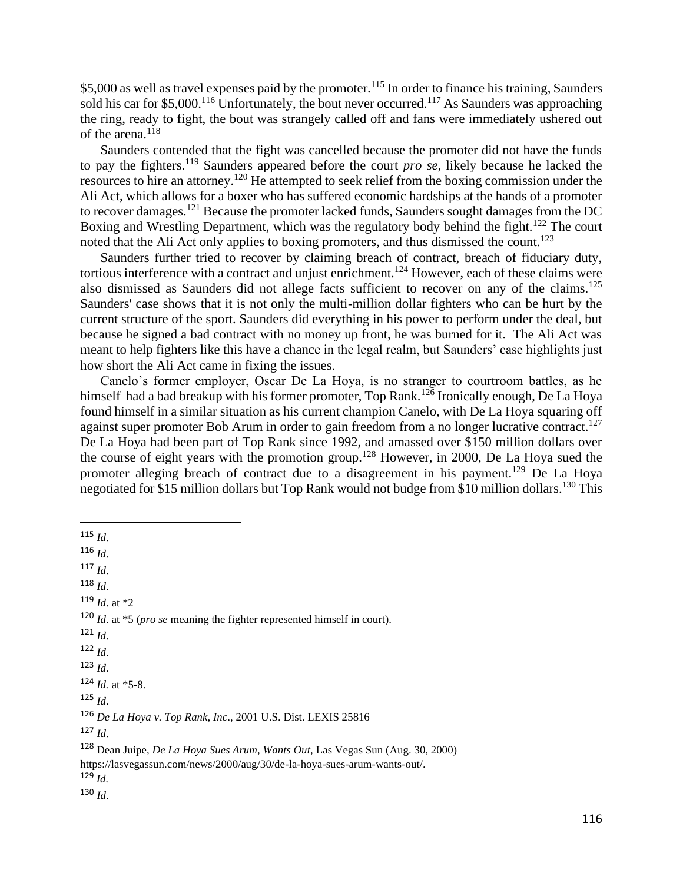\$5,000 as well as travel expenses paid by the promoter.<sup>115</sup> In order to finance his training, Saunders sold his car for \$5,000.<sup>116</sup> Unfortunately, the bout never occurred.<sup>117</sup> As Saunders was approaching the ring, ready to fight, the bout was strangely called off and fans were immediately ushered out of the arena.<sup>118</sup>

Saunders contended that the fight was cancelled because the promoter did not have the funds to pay the fighters.<sup>119</sup> Saunders appeared before the court *pro se*, likely because he lacked the resources to hire an attorney.<sup>120</sup> He attempted to seek relief from the boxing commission under the Ali Act, which allows for a boxer who has suffered economic hardships at the hands of a promoter to recover damages.<sup>121</sup> Because the promoter lacked funds, Saunders sought damages from the DC Boxing and Wrestling Department, which was the regulatory body behind the fight.<sup>122</sup> The court noted that the Ali Act only applies to boxing promoters, and thus dismissed the count.<sup>123</sup>

Saunders further tried to recover by claiming breach of contract, breach of fiduciary duty, tortious interference with a contract and unjust enrichment.<sup>124</sup> However, each of these claims were also dismissed as Saunders did not allege facts sufficient to recover on any of the claims.<sup>125</sup> Saunders' case shows that it is not only the multi-million dollar fighters who can be hurt by the current structure of the sport. Saunders did everything in his power to perform under the deal, but because he signed a bad contract with no money up front, he was burned for it. The Ali Act was meant to help fighters like this have a chance in the legal realm, but Saunders' case highlights just how short the Ali Act came in fixing the issues.

Canelo's former employer, Oscar De La Hoya, is no stranger to courtroom battles, as he himself had a bad breakup with his former promoter, Top Rank.<sup>126</sup> Ironically enough, De La Hoya found himself in a similar situation as his current champion Canelo, with De La Hoya squaring off against super promoter Bob Arum in order to gain freedom from a no longer lucrative contract.<sup>127</sup> De La Hoya had been part of Top Rank since 1992, and amassed over \$150 million dollars over the course of eight years with the promotion group.<sup>128</sup> However, in 2000, De La Hoya sued the promoter alleging breach of contract due to a disagreement in his payment.<sup>129</sup> De La Hoya negotiated for \$15 million dollars but Top Rank would not budge from \$10 million dollars.<sup>130</sup> This

<sup>117</sup> *Id*.

- <sup>118</sup> *Id*.
- <sup>119</sup> *Id*. at \*2

- <sup>121</sup> *Id*.
- <sup>122</sup> *Id*.
- <sup>123</sup> *Id*.

<sup>125</sup> *Id*.

<sup>126</sup> *De La Hoya v. Top Rank, Inc*., 2001 U.S. Dist. LEXIS 25816

<sup>127</sup> *Id*.

<sup>115</sup> *Id*.

<sup>116</sup> *Id*.

<sup>120</sup> *Id*. at \*5 (*pro se* meaning the fighter represented himself in court).

 $124$  *Id.* at \*5-8.

<sup>128</sup> Dean Juipe, *De La Hoya Sues Arum, Wants Out,* Las Vegas Sun (Aug. 30, 2000) https://lasvegassun.com/news/2000/aug/30/de-la-hoya-sues-arum-wants-out/.

 $129$  *Id.*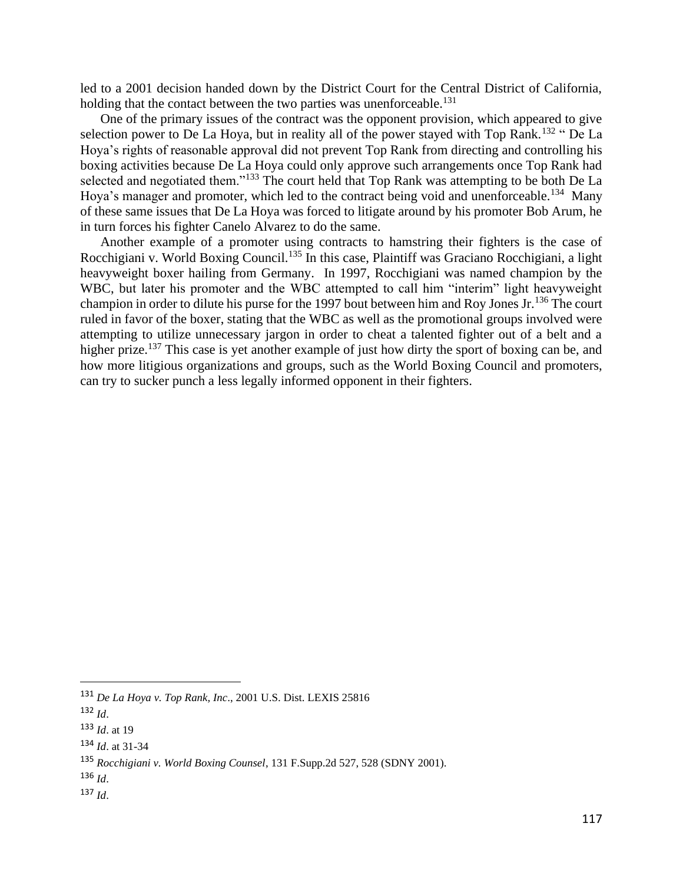led to a 2001 decision handed down by the District Court for the Central District of California, holding that the contact between the two parties was unenforceable.<sup>131</sup>

One of the primary issues of the contract was the opponent provision, which appeared to give selection power to De La Hoya, but in reality all of the power stayed with Top Rank.<sup>132</sup> " De La Hoya's rights of reasonable approval did not prevent Top Rank from directing and controlling his boxing activities because De La Hoya could only approve such arrangements once Top Rank had selected and negotiated them."<sup>133</sup> The court held that Top Rank was attempting to be both De La Hoya's manager and promoter, which led to the contract being void and unenforceable.<sup>134</sup> Many of these same issues that De La Hoya was forced to litigate around by his promoter Bob Arum, he in turn forces his fighter Canelo Alvarez to do the same.

Another example of a promoter using contracts to hamstring their fighters is the case of Rocchigiani v. World Boxing Council.<sup>135</sup> In this case, Plaintiff was Graciano Rocchigiani, a light heavyweight boxer hailing from Germany. In 1997, Rocchigiani was named champion by the WBC, but later his promoter and the WBC attempted to call him "interim" light heavyweight champion in order to dilute his purse for the 1997 bout between him and Roy Jones Jr.<sup>136</sup> The court ruled in favor of the boxer, stating that the WBC as well as the promotional groups involved were attempting to utilize unnecessary jargon in order to cheat a talented fighter out of a belt and a higher prize.<sup>137</sup> This case is yet another example of just how dirty the sport of boxing can be, and how more litigious organizations and groups, such as the World Boxing Council and promoters, can try to sucker punch a less legally informed opponent in their fighters.

<sup>136</sup> *Id*.

<sup>131</sup> *De La Hoya v. Top Rank, Inc*., 2001 U.S. Dist. LEXIS 25816

<sup>132</sup> *Id*.

<sup>133</sup> *Id*. at 19

<sup>134</sup> *Id*. at 31-34

<sup>135</sup> *Rocchigiani v. World Boxing Counsel*, 131 F.Supp.2d 527, 528 (SDNY 2001).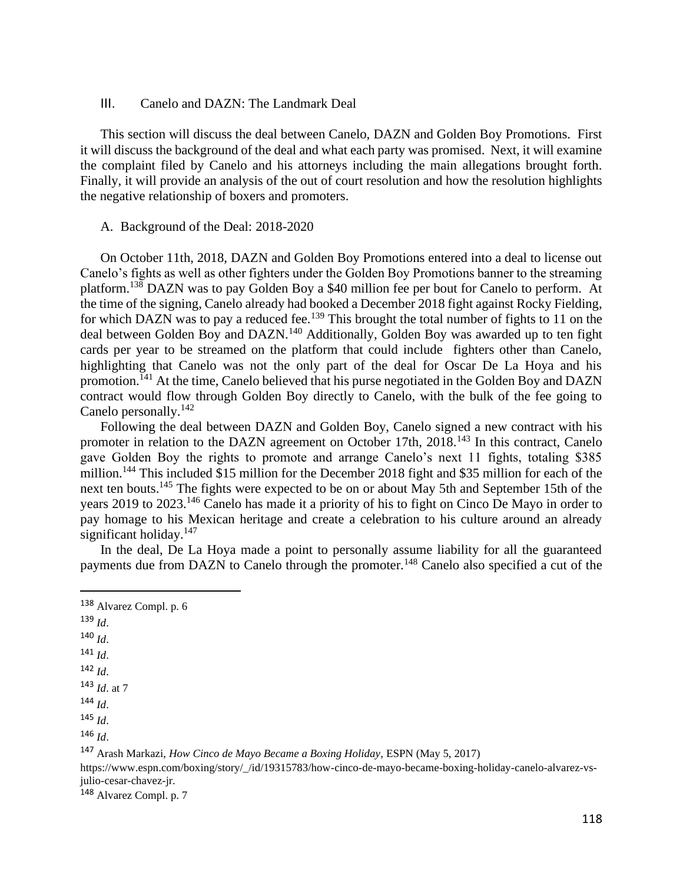#### III. Canelo and DAZN: The Landmark Deal

This section will discuss the deal between Canelo, DAZN and Golden Boy Promotions. First it will discuss the background of the deal and what each party was promised. Next, it will examine the complaint filed by Canelo and his attorneys including the main allegations brought forth. Finally, it will provide an analysis of the out of court resolution and how the resolution highlights the negative relationship of boxers and promoters.

#### A. Background of the Deal: 2018-2020

On October 11th, 2018, DAZN and Golden Boy Promotions entered into a deal to license out Canelo's fights as well as other fighters under the Golden Boy Promotions banner to the streaming platform.<sup>138</sup> DAZN was to pay Golden Boy a \$40 million fee per bout for Canelo to perform. At the time of the signing, Canelo already had booked a December 2018 fight against Rocky Fielding, for which DAZN was to pay a reduced fee.<sup>139</sup> This brought the total number of fights to 11 on the deal between Golden Boy and DAZN.<sup>140</sup> Additionally, Golden Boy was awarded up to ten fight cards per year to be streamed on the platform that could include fighters other than Canelo, highlighting that Canelo was not the only part of the deal for Oscar De La Hoya and his promotion.<sup>141</sup> At the time, Canelo believed that his purse negotiated in the Golden Boy and DAZN contract would flow through Golden Boy directly to Canelo, with the bulk of the fee going to Canelo personally.<sup>142</sup>

Following the deal between DAZN and Golden Boy, Canelo signed a new contract with his promoter in relation to the DAZN agreement on October 17th, 2018.<sup>143</sup> In this contract, Canelo gave Golden Boy the rights to promote and arrange Canelo's next 11 fights, totaling \$385 million.<sup>144</sup> This included \$15 million for the December 2018 fight and \$35 million for each of the next ten bouts.<sup>145</sup> The fights were expected to be on or about May 5th and September 15th of the years 2019 to 2023.<sup>146</sup> Canelo has made it a priority of his to fight on Cinco De Mayo in order to pay homage to his Mexican heritage and create a celebration to his culture around an already significant holiday.<sup>147</sup>

In the deal, De La Hoya made a point to personally assume liability for all the guaranteed payments due from DAZN to Canelo through the promoter.<sup>148</sup> Canelo also specified a cut of the

- <sup>139</sup> *Id*.
- <sup>140</sup> *Id*.
- <sup>141</sup> *Id*.
- <sup>142</sup> *Id*.
- <sup>143</sup> *Id*. at 7

<sup>144</sup> *Id*.

julio-cesar-chavez-jr.

<sup>148</sup> Alvarez Compl. p. 7

<sup>138</sup> Alvarez Compl. p. 6

<sup>145</sup> *Id*.

<sup>146</sup> *Id*.

<sup>147</sup> Arash Markazi, *How Cinco de Mayo Became a Boxing Holiday*, ESPN (May 5, 2017) https://www.espn.com/boxing/story/\_/id/19315783/how-cinco-de-mayo-became-boxing-holiday-canelo-alvarez-vs-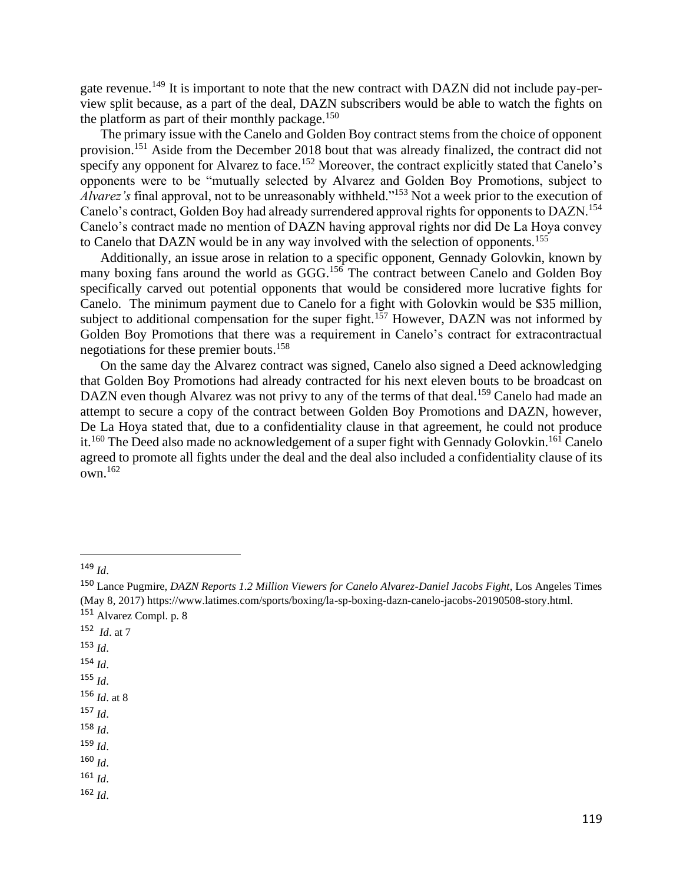gate revenue.<sup>149</sup> It is important to note that the new contract with DAZN did not include pay-perview split because, as a part of the deal, DAZN subscribers would be able to watch the fights on the platform as part of their monthly package.<sup>150</sup>

The primary issue with the Canelo and Golden Boy contract stems from the choice of opponent provision.<sup>151</sup> Aside from the December 2018 bout that was already finalized, the contract did not specify any opponent for Alvarez to face.<sup>152</sup> Moreover, the contract explicitly stated that Canelo's opponents were to be "mutually selected by Alvarez and Golden Boy Promotions, subject to *Alvarez's* final approval, not to be unreasonably withheld."<sup>153</sup> Not a week prior to the execution of Canelo's contract, Golden Boy had already surrendered approval rights for opponents to DAZN.<sup>154</sup> Canelo's contract made no mention of DAZN having approval rights nor did De La Hoya convey to Canelo that DAZN would be in any way involved with the selection of opponents.<sup>155</sup>

Additionally, an issue arose in relation to a specific opponent, Gennady Golovkin, known by many boxing fans around the world as GGG.<sup>156</sup> The contract between Canelo and Golden Boy specifically carved out potential opponents that would be considered more lucrative fights for Canelo. The minimum payment due to Canelo for a fight with Golovkin would be \$35 million, subject to additional compensation for the super fight.<sup>157</sup> However, DAZN was not informed by Golden Boy Promotions that there was a requirement in Canelo's contract for extracontractual negotiations for these premier bouts.<sup>158</sup>

On the same day the Alvarez contract was signed, Canelo also signed a Deed acknowledging that Golden Boy Promotions had already contracted for his next eleven bouts to be broadcast on DAZN even though Alvarez was not privy to any of the terms of that deal.<sup>159</sup> Canelo had made an attempt to secure a copy of the contract between Golden Boy Promotions and DAZN, however, De La Hoya stated that, due to a confidentiality clause in that agreement, he could not produce it.<sup>160</sup> The Deed also made no acknowledgement of a super fight with Gennady Golovkin.<sup>161</sup> Canelo agreed to promote all fights under the deal and the deal also included a confidentiality clause of its own.<sup>162</sup>

- 152 *Id*. at 7
- <sup>153</sup> *Id*.
- <sup>154</sup> *Id*.
- <sup>155</sup> *Id*.
- <sup>156</sup> *Id*. at 8
- <sup>157</sup> *Id*.
- <sup>158</sup> *Id*.
- <sup>159</sup> *Id*.
- <sup>160</sup> *Id*.
- $161$  *Id*.
- $162$  *Id.*

<sup>149</sup> *Id*.

<sup>150</sup> Lance Pugmire, *DAZN Reports 1.2 Million Viewers for Canelo Alvarez-Daniel Jacobs Fight*, Los Angeles Times (May 8, 2017) https://www.latimes.com/sports/boxing/la-sp-boxing-dazn-canelo-jacobs-20190508-story.html. <sup>151</sup> Alvarez Compl. p. 8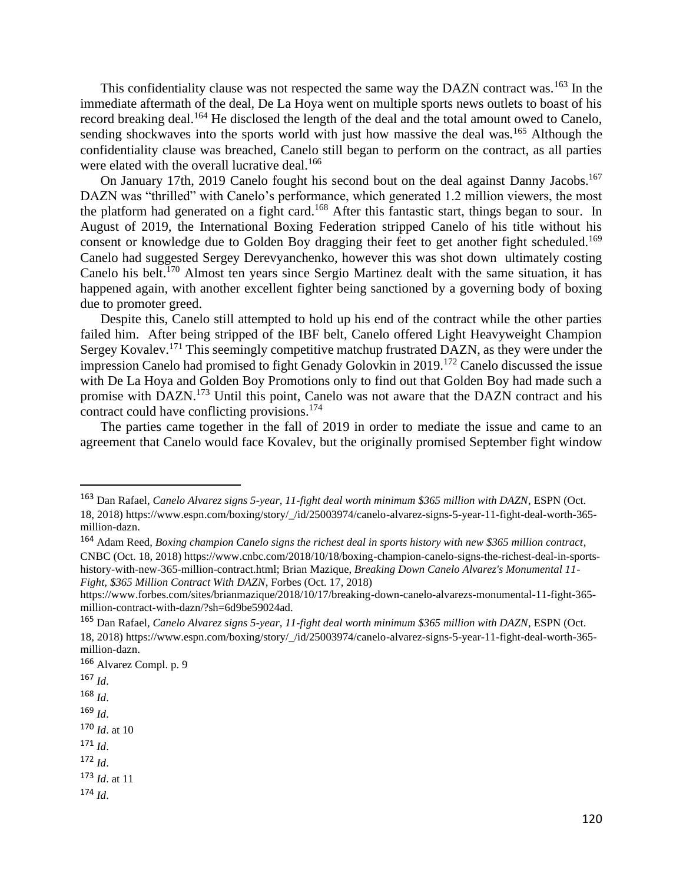This confidentiality clause was not respected the same way the DAZN contract was.<sup>163</sup> In the immediate aftermath of the deal, De La Hoya went on multiple sports news outlets to boast of his record breaking deal.<sup>164</sup> He disclosed the length of the deal and the total amount owed to Canelo, sending shockwaves into the sports world with just how massive the deal was.<sup>165</sup> Although the confidentiality clause was breached, Canelo still began to perform on the contract, as all parties were elated with the overall lucrative deal.<sup>166</sup>

On January 17th, 2019 Canelo fought his second bout on the deal against Danny Jacobs.<sup>167</sup> DAZN was "thrilled" with Canelo's performance, which generated 1.2 million viewers, the most the platform had generated on a fight card.<sup>168</sup> After this fantastic start, things began to sour. In August of 2019, the International Boxing Federation stripped Canelo of his title without his consent or knowledge due to Golden Boy dragging their feet to get another fight scheduled.<sup>169</sup> Canelo had suggested Sergey Derevyanchenko, however this was shot down ultimately costing Canelo his belt.<sup>170</sup> Almost ten years since Sergio Martinez dealt with the same situation, it has happened again, with another excellent fighter being sanctioned by a governing body of boxing due to promoter greed.

Despite this, Canelo still attempted to hold up his end of the contract while the other parties failed him. After being stripped of the IBF belt, Canelo offered Light Heavyweight Champion Sergey Kovalev.<sup>171</sup> This seemingly competitive matchup frustrated DAZN, as they were under the impression Canelo had promised to fight Genady Golovkin in 2019.<sup>172</sup> Canelo discussed the issue with De La Hoya and Golden Boy Promotions only to find out that Golden Boy had made such a promise with DAZN.<sup>173</sup> Until this point, Canelo was not aware that the DAZN contract and his contract could have conflicting provisions.<sup>174</sup>

The parties came together in the fall of 2019 in order to mediate the issue and came to an agreement that Canelo would face Kovalev, but the originally promised September fight window

- $167$  *Id.*
- <sup>168</sup> *Id*.

<sup>169</sup> *Id*.

- <sup>170</sup> *Id*. at 10
- <sup>171</sup> *Id*.
- <sup>172</sup> *Id*.

<sup>173</sup> *Id*. at 11

<sup>163</sup> Dan Rafael, *Canelo Alvarez signs 5-year, 11-fight deal worth minimum \$365 million with DAZN*, ESPN (Oct. 18, 2018) https://www.espn.com/boxing/story/\_/id/25003974/canelo-alvarez-signs-5-year-11-fight-deal-worth-365 million-dazn.

<sup>164</sup> Adam Reed, *Boxing champion Canelo signs the richest deal in sports history with new \$365 million contract*, CNBC (Oct. 18, 2018) https://www.cnbc.com/2018/10/18/boxing-champion-canelo-signs-the-richest-deal-in-sportshistory-with-new-365-million-contract.html; Brian Mazique, *Breaking Down Canelo Alvarez's Monumental 11- Fight, \$365 Million Contract With DAZN*, Forbes (Oct. 17, 2018)

https://www.forbes.com/sites/brianmazique/2018/10/17/breaking-down-canelo-alvarezs-monumental-11-fight-365 million-contract-with-dazn/?sh=6d9be59024ad.

<sup>165</sup> Dan Rafael, *Canelo Alvarez signs 5-year, 11-fight deal worth minimum \$365 million with DAZN*, ESPN (Oct. 18, 2018) https://www.espn.com/boxing/story/\_/id/25003974/canelo-alvarez-signs-5-year-11-fight-deal-worth-365 million-dazn.

<sup>166</sup> Alvarez Compl. p. 9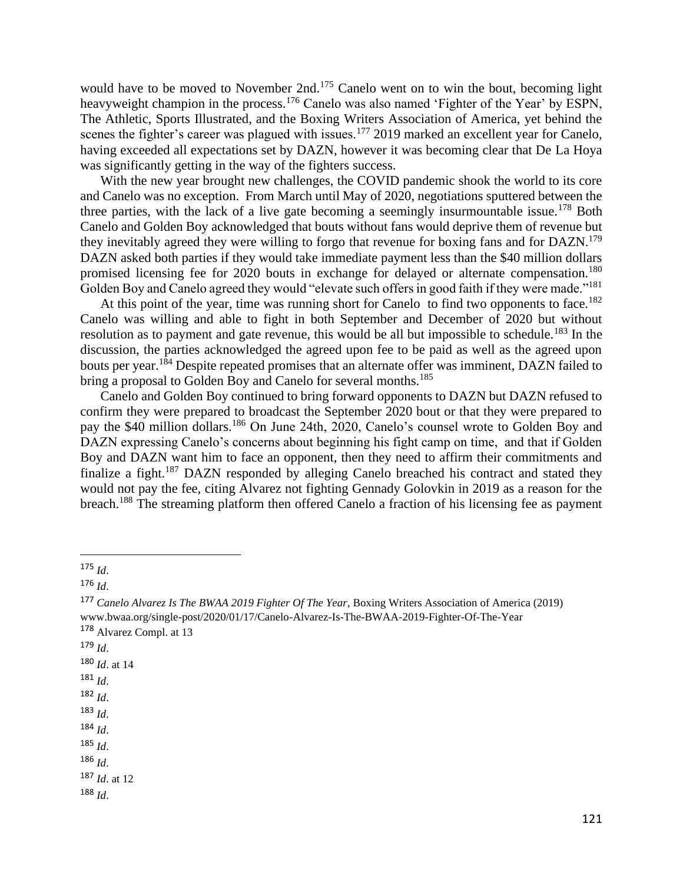would have to be moved to November 2nd.<sup>175</sup> Canelo went on to win the bout, becoming light heavyweight champion in the process.<sup>176</sup> Canelo was also named 'Fighter of the Year' by ESPN, The Athletic, Sports Illustrated, and the Boxing Writers Association of America, yet behind the scenes the fighter's career was plagued with issues.<sup>177</sup> 2019 marked an excellent year for Canelo, having exceeded all expectations set by DAZN, however it was becoming clear that De La Hoya was significantly getting in the way of the fighters success.

With the new year brought new challenges, the COVID pandemic shook the world to its core and Canelo was no exception. From March until May of 2020, negotiations sputtered between the three parties, with the lack of a live gate becoming a seemingly insurmountable issue.<sup>178</sup> Both Canelo and Golden Boy acknowledged that bouts without fans would deprive them of revenue but they inevitably agreed they were willing to forgo that revenue for boxing fans and for DAZN.<sup>179</sup> DAZN asked both parties if they would take immediate payment less than the \$40 million dollars promised licensing fee for 2020 bouts in exchange for delayed or alternate compensation.<sup>180</sup> Golden Boy and Canelo agreed they would "elevate such offers in good faith if they were made."<sup>181</sup>

At this point of the year, time was running short for Canelo to find two opponents to face.<sup>182</sup> Canelo was willing and able to fight in both September and December of 2020 but without resolution as to payment and gate revenue, this would be all but impossible to schedule.<sup>183</sup> In the discussion, the parties acknowledged the agreed upon fee to be paid as well as the agreed upon bouts per year.<sup>184</sup> Despite repeated promises that an alternate offer was imminent, DAZN failed to bring a proposal to Golden Boy and Canelo for several months.<sup>185</sup>

Canelo and Golden Boy continued to bring forward opponents to DAZN but DAZN refused to confirm they were prepared to broadcast the September 2020 bout or that they were prepared to pay the \$40 million dollars.<sup>186</sup> On June 24th, 2020, Canelo's counsel wrote to Golden Boy and DAZN expressing Canelo's concerns about beginning his fight camp on time, and that if Golden Boy and DAZN want him to face an opponent, then they need to affirm their commitments and finalize a fight.<sup>187</sup> DAZN responded by alleging Canelo breached his contract and stated they would not pay the fee, citing Alvarez not fighting Gennady Golovkin in 2019 as a reason for the breach.<sup>188</sup> The streaming platform then offered Canelo a fraction of his licensing fee as payment

- <sup>179</sup> *Id*.
- <sup>180</sup> *Id*. at 14
- <sup>181</sup> *Id*.
- <sup>182</sup> *Id*.
- <sup>183</sup> *Id*.
- <sup>184</sup> *Id*.
- $185$  *Id*.
- <sup>186</sup> *Id*.

<sup>187</sup> *Id*. at 12

<sup>175</sup> *Id*.

<sup>176</sup> *Id*.

<sup>177</sup> *Canelo Alvarez Is The BWAA 2019 Fighter Of The Year*, Boxing Writers Association of America (2019) www.bwaa.org/single-post/2020/01/17/Canelo-Alvarez-Is-The-BWAA-2019-Fighter-Of-The-Year <sup>178</sup> Alvarez Compl. at 13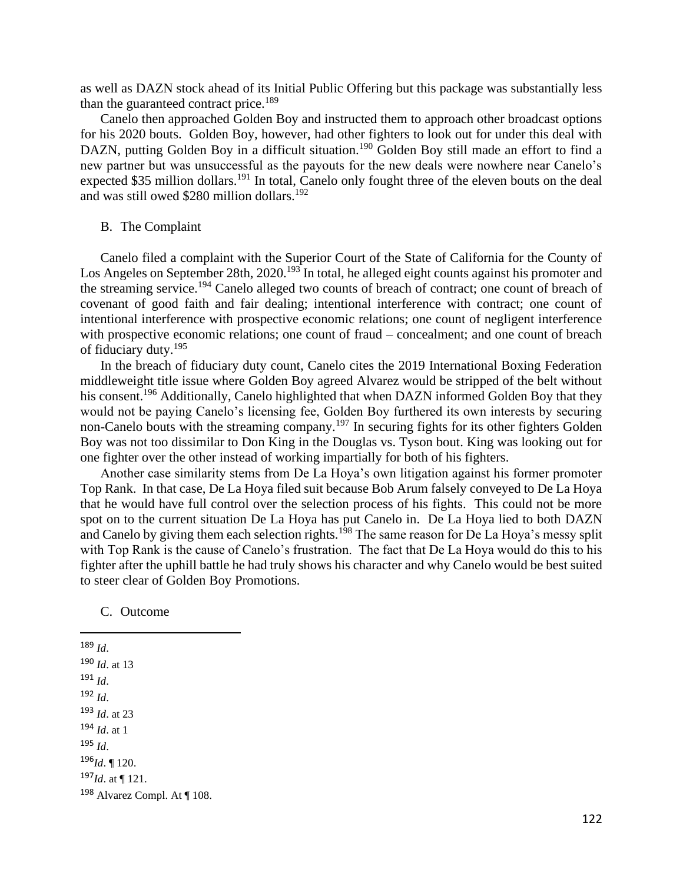as well as DAZN stock ahead of its Initial Public Offering but this package was substantially less than the guaranteed contract price.<sup>189</sup>

Canelo then approached Golden Boy and instructed them to approach other broadcast options for his 2020 bouts. Golden Boy, however, had other fighters to look out for under this deal with DAZN, putting Golden Boy in a difficult situation.<sup>190</sup> Golden Boy still made an effort to find a new partner but was unsuccessful as the payouts for the new deals were nowhere near Canelo's expected \$35 million dollars.<sup>191</sup> In total, Canelo only fought three of the eleven bouts on the deal and was still owed \$280 million dollars.<sup>192</sup>

#### B. The Complaint

Canelo filed a complaint with the Superior Court of the State of California for the County of Los Angeles on September 28th, 2020.<sup>193</sup> In total, he alleged eight counts against his promoter and the streaming service.<sup>194</sup> Canelo alleged two counts of breach of contract; one count of breach of covenant of good faith and fair dealing; intentional interference with contract; one count of intentional interference with prospective economic relations; one count of negligent interference with prospective economic relations; one count of fraud – concealment; and one count of breach of fiduciary duty.<sup>195</sup>

In the breach of fiduciary duty count, Canelo cites the 2019 International Boxing Federation middleweight title issue where Golden Boy agreed Alvarez would be stripped of the belt without his consent.<sup>196</sup> Additionally, Canelo highlighted that when DAZN informed Golden Boy that they would not be paying Canelo's licensing fee, Golden Boy furthered its own interests by securing non-Canelo bouts with the streaming company.<sup>197</sup> In securing fights for its other fighters Golden Boy was not too dissimilar to Don King in the Douglas vs. Tyson bout. King was looking out for one fighter over the other instead of working impartially for both of his fighters.

Another case similarity stems from De La Hoya's own litigation against his former promoter Top Rank. In that case, De La Hoya filed suit because Bob Arum falsely conveyed to De La Hoya that he would have full control over the selection process of his fights. This could not be more spot on to the current situation De La Hoya has put Canelo in. De La Hoya lied to both DAZN and Canelo by giving them each selection rights.<sup>198</sup> The same reason for De La Hoya's messy split with Top Rank is the cause of Canelo's frustration. The fact that De La Hoya would do this to his fighter after the uphill battle he had truly shows his character and why Canelo would be best suited to steer clear of Golden Boy Promotions.

C. Outcome

<sup>189</sup> *Id*. <sup>190</sup> *Id*. at 13 <sup>191</sup> *Id*. <sup>192</sup> *Id*. <sup>193</sup> *Id*. at 23 <sup>194</sup> *Id*. at 1 <sup>195</sup> *Id*. <sup>196</sup>*Id*. ¶ 120. <sup>197</sup>*Id*. at ¶ 121. <sup>198</sup> Alvarez Compl. At ¶ 108.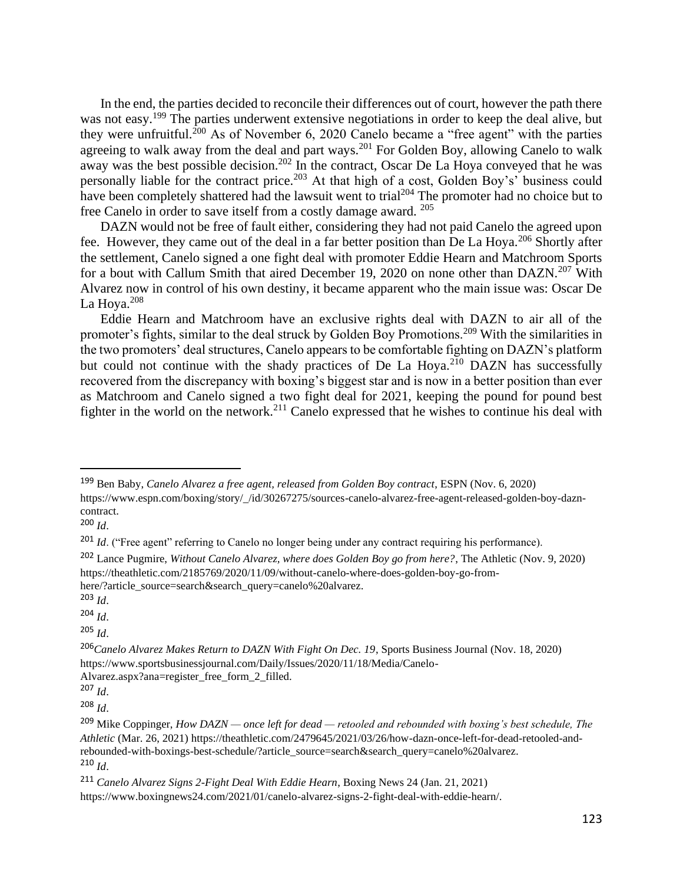In the end, the parties decided to reconcile their differences out of court, however the path there was not easy.<sup>199</sup> The parties underwent extensive negotiations in order to keep the deal alive, but they were unfruitful.<sup>200</sup> As of November 6, 2020 Canelo became a "free agent" with the parties agreeing to walk away from the deal and part ways.<sup>201</sup> For Golden Boy, allowing Canelo to walk away was the best possible decision.<sup>202</sup> In the contract, Oscar De La Hoya conveyed that he was personally liable for the contract price.<sup>203</sup> At that high of a cost, Golden Boy's' business could have been completely shattered had the lawsuit went to trial<sup>204</sup> The promoter had no choice but to free Canelo in order to save itself from a costly damage award. <sup>205</sup>

DAZN would not be free of fault either, considering they had not paid Canelo the agreed upon fee. However, they came out of the deal in a far better position than De La Hoya.<sup>206</sup> Shortly after the settlement, Canelo signed a one fight deal with promoter Eddie Hearn and Matchroom Sports for a bout with Callum Smith that aired December 19, 2020 on none other than DAZN.<sup>207</sup> With Alvarez now in control of his own destiny, it became apparent who the main issue was: Oscar De La Hoya. $208$ 

Eddie Hearn and Matchroom have an exclusive rights deal with DAZN to air all of the promoter's fights, similar to the deal struck by Golden Boy Promotions.<sup>209</sup> With the similarities in the two promoters' deal structures, Canelo appears to be comfortable fighting on DAZN's platform but could not continue with the shady practices of De La Hoya.<sup>210</sup> DAZN has successfully recovered from the discrepancy with boxing's biggest star and is now in a better position than ever as Matchroom and Canelo signed a two fight deal for 2021, keeping the pound for pound best fighter in the world on the network.<sup>211</sup> Canelo expressed that he wishes to continue his deal with

<sup>199</sup> Ben Baby, *Canelo Alvarez a free agent, released from Golden Boy contract*, ESPN (Nov. 6, 2020) https://www.espn.com/boxing/story/\_/id/30267275/sources-canelo-alvarez-free-agent-released-golden-boy-dazncontract.

<sup>200</sup> *Id*.

<sup>&</sup>lt;sup>201</sup> *Id.* ("Free agent" referring to Canelo no longer being under any contract requiring his performance).

<sup>202</sup> Lance Pugmire, *Without Canelo Alvarez, where does Golden Boy go from here?*, The Athletic (Nov. 9, 2020) https://theathletic.com/2185769/2020/11/09/without-canelo-where-does-golden-boy-go-fromhere/?article\_source=search&search\_query=canelo%20alvarez.

<sup>203</sup> *Id*.

<sup>204</sup> *Id*.

<sup>206</sup>*Canelo Alvarez Makes Return to DAZN With Fight On Dec. 19*, Sports Business Journal (Nov. 18, 2020) https://www.sportsbusinessjournal.com/Daily/Issues/2020/11/18/Media/Canelo-

Alvarez.aspx?ana=register\_free\_form\_2\_filled.

<sup>207</sup> *Id*.

<sup>208</sup> *Id*.

<sup>209</sup> Mike Coppinger, *How DAZN — once left for dead — retooled and rebounded with boxing's best schedule, The Athletic* (Mar. 26, 2021) https://theathletic.com/2479645/2021/03/26/how-dazn-once-left-for-dead-retooled-andrebounded-with-boxings-best-schedule/?article\_source=search&search\_query=canelo%20alvarez. <sup>210</sup> *Id*.

<sup>211</sup> *Canelo Alvarez Signs 2-Fight Deal With Eddie Hearn*, Boxing News 24 (Jan. 21, 2021) https://www.boxingnews24.com/2021/01/canelo-alvarez-signs-2-fight-deal-with-eddie-hearn/.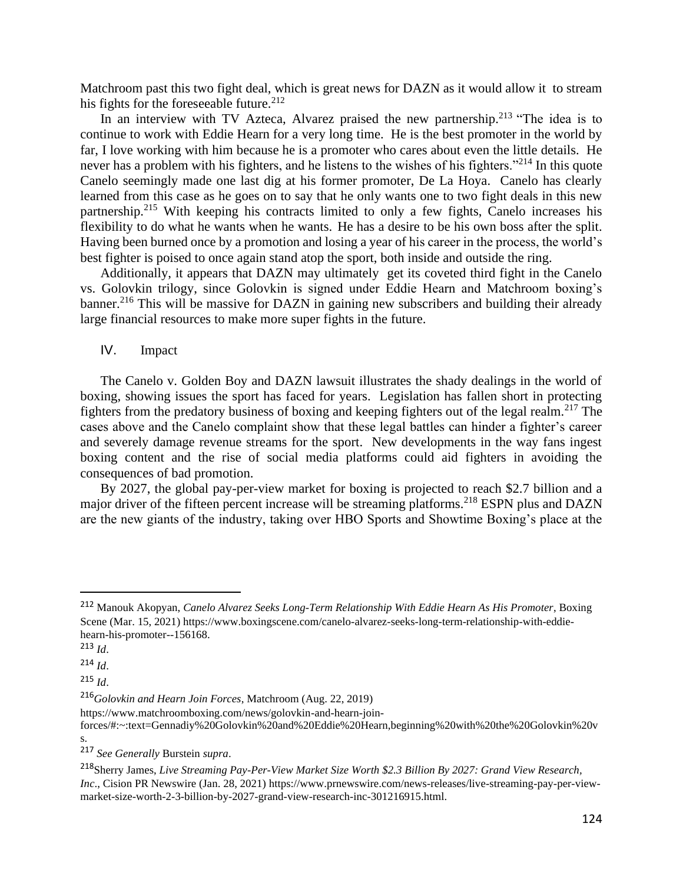Matchroom past this two fight deal, which is great news for DAZN as it would allow it to stream his fights for the foreseeable future.<sup>212</sup>

In an interview with TV Azteca, Alvarez praised the new partnership.<sup>213</sup> "The idea is to continue to work with Eddie Hearn for a very long time. He is the best promoter in the world by far, I love working with him because he is a promoter who cares about even the little details. He never has a problem with his fighters, and he listens to the wishes of his fighters."<sup>214</sup> In this quote Canelo seemingly made one last dig at his former promoter, De La Hoya. Canelo has clearly learned from this case as he goes on to say that he only wants one to two fight deals in this new partnership.<sup>215</sup> With keeping his contracts limited to only a few fights, Canelo increases his flexibility to do what he wants when he wants. He has a desire to be his own boss after the split. Having been burned once by a promotion and losing a year of his career in the process, the world's best fighter is poised to once again stand atop the sport, both inside and outside the ring.

Additionally, it appears that DAZN may ultimately get its coveted third fight in the Canelo vs. Golovkin trilogy, since Golovkin is signed under Eddie Hearn and Matchroom boxing's banner.<sup>216</sup> This will be massive for DAZN in gaining new subscribers and building their already large financial resources to make more super fights in the future.

IV. Impact

The Canelo v. Golden Boy and DAZN lawsuit illustrates the shady dealings in the world of boxing, showing issues the sport has faced for years. Legislation has fallen short in protecting fighters from the predatory business of boxing and keeping fighters out of the legal realm.<sup>217</sup> The cases above and the Canelo complaint show that these legal battles can hinder a fighter's career and severely damage revenue streams for the sport. New developments in the way fans ingest boxing content and the rise of social media platforms could aid fighters in avoiding the consequences of bad promotion.

By 2027, the global pay-per-view market for boxing is projected to reach \$2.7 billion and a major driver of the fifteen percent increase will be streaming platforms.<sup>218</sup> ESPN plus and DAZN are the new giants of the industry, taking over HBO Sports and Showtime Boxing's place at the

<sup>212</sup> Manouk Akopyan, *Canelo Alvarez Seeks Long-Term Relationship With Eddie Hearn As His Promoter*, Boxing Scene (Mar. 15, 2021) https://www.boxingscene.com/canelo-alvarez-seeks-long-term-relationship-with-eddiehearn-his-promoter--156168.

<sup>213</sup> *Id*.

<sup>214</sup> *Id*.

<sup>215</sup> *Id*.

<sup>216</sup>*Golovkin and Hearn Join Forces*, Matchroom (Aug. 22, 2019)

https://www.matchroomboxing.com/news/golovkin-and-hearn-join-

forces/#:~:text=Gennadiy%20Golovkin%20and%20Eddie%20Hearn,beginning%20with%20the%20Golovkin%20v s.

<sup>217</sup> *See Generally* Burstein *supra*.

<sup>218</sup>Sherry James, *Live Streaming Pay-Per-View Market Size Worth \$2.3 Billion By 2027: Grand View Research, Inc*., Cision PR Newswire (Jan. 28, 2021) https://www.prnewswire.com/news-releases/live-streaming-pay-per-viewmarket-size-worth-2-3-billion-by-2027-grand-view-research-inc-301216915.html.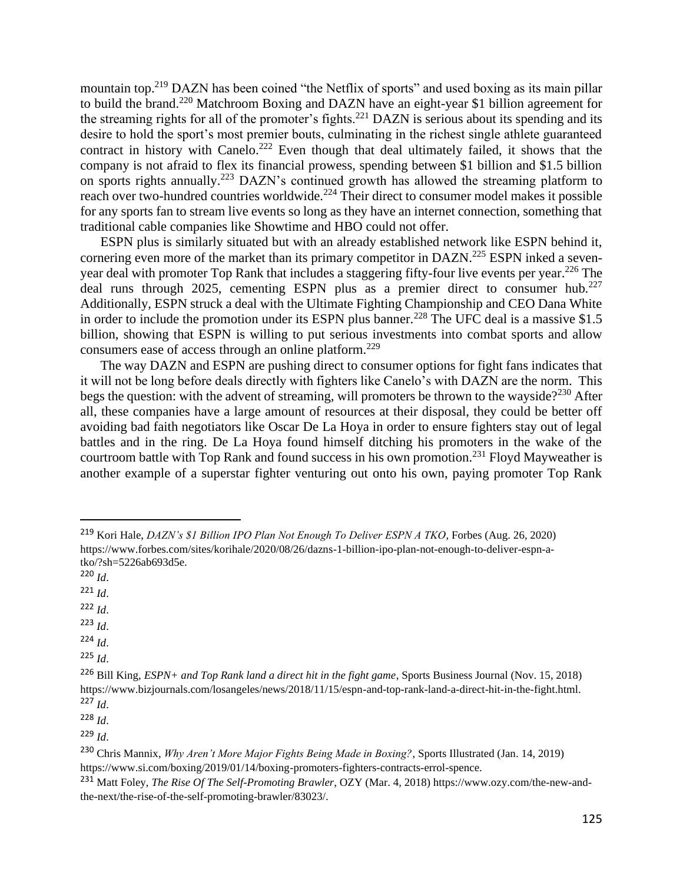mountain top.<sup>219</sup> DAZN has been coined "the Netflix of sports" and used boxing as its main pillar to build the brand.<sup>220</sup> Matchroom Boxing and DAZN have an eight-year \$1 billion agreement for the streaming rights for all of the promoter's fights.<sup>221</sup> DAZN is serious about its spending and its desire to hold the sport's most premier bouts, culminating in the richest single athlete guaranteed contract in history with Canelo.<sup>222</sup> Even though that deal ultimately failed, it shows that the company is not afraid to flex its financial prowess, spending between \$1 billion and \$1.5 billion on sports rights annually.<sup>223</sup> DAZN's continued growth has allowed the streaming platform to reach over two-hundred countries worldwide.<sup>224</sup> Their direct to consumer model makes it possible for any sports fan to stream live events so long as they have an internet connection, something that traditional cable companies like Showtime and HBO could not offer.

ESPN plus is similarly situated but with an already established network like ESPN behind it, cornering even more of the market than its primary competitor in DAZN.<sup>225</sup> ESPN inked a sevenyear deal with promoter Top Rank that includes a staggering fifty-four live events per year.<sup>226</sup> The deal runs through 2025, cementing ESPN plus as a premier direct to consumer hub.<sup>227</sup> Additionally, ESPN struck a deal with the Ultimate Fighting Championship and CEO Dana White in order to include the promotion under its ESPN plus banner.<sup>228</sup> The UFC deal is a massive \$1.5 billion, showing that ESPN is willing to put serious investments into combat sports and allow consumers ease of access through an online platform.<sup>229</sup>

The way DAZN and ESPN are pushing direct to consumer options for fight fans indicates that it will not be long before deals directly with fighters like Canelo's with DAZN are the norm. This begs the question: with the advent of streaming, will promoters be thrown to the wayside?<sup>230</sup> After all, these companies have a large amount of resources at their disposal, they could be better off avoiding bad faith negotiators like Oscar De La Hoya in order to ensure fighters stay out of legal battles and in the ring. De La Hoya found himself ditching his promoters in the wake of the courtroom battle with Top Rank and found success in his own promotion.<sup>231</sup> Floyd Mayweather is another example of a superstar fighter venturing out onto his own, paying promoter Top Rank

- <sup>223</sup> *Id*.
- <sup>224</sup> *Id*.

<sup>219</sup> Kori Hale, *DAZN's \$1 Billion IPO Plan Not Enough To Deliver ESPN A TKO*, Forbes (Aug. 26, 2020) https://www.forbes.com/sites/korihale/2020/08/26/dazns-1-billion-ipo-plan-not-enough-to-deliver-espn-atko/?sh=5226ab693d5e.

<sup>220</sup> *Id*.

 $^{221}$  *Id*.

 $222$  *Id.* 

<sup>225</sup> *Id*.

<sup>226</sup> Bill King, *ESPN+ and Top Rank land a direct hit in the fight game*, Sports Business Journal (Nov. 15, 2018) https://www.bizjournals.com/losangeles/news/2018/11/15/espn-and-top-rank-land-a-direct-hit-in-the-fight.html. <sup>227</sup> *Id*.

<sup>229</sup> *Id*.

<sup>230</sup> Chris Mannix, *Why Aren't More Major Fights Being Made in Boxing?*, Sports Illustrated (Jan. 14, 2019) https://www.si.com/boxing/2019/01/14/boxing-promoters-fighters-contracts-errol-spence.

<sup>231</sup> Matt Foley, *The Rise Of The Self-Promoting Brawler*, OZY (Mar. 4, 2018) https://www.ozy.com/the-new-andthe-next/the-rise-of-the-self-promoting-brawler/83023/.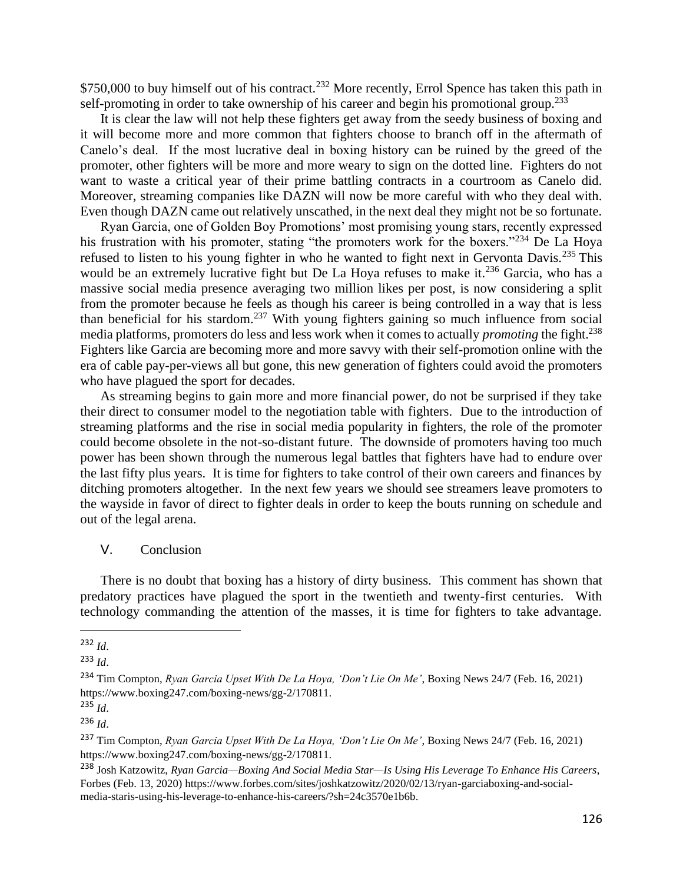\$750,000 to buy himself out of his contract.<sup>232</sup> More recently, Errol Spence has taken this path in self-promoting in order to take ownership of his career and begin his promotional group.<sup>233</sup>

It is clear the law will not help these fighters get away from the seedy business of boxing and it will become more and more common that fighters choose to branch off in the aftermath of Canelo's deal. If the most lucrative deal in boxing history can be ruined by the greed of the promoter, other fighters will be more and more weary to sign on the dotted line. Fighters do not want to waste a critical year of their prime battling contracts in a courtroom as Canelo did. Moreover, streaming companies like DAZN will now be more careful with who they deal with. Even though DAZN came out relatively unscathed, in the next deal they might not be so fortunate.

Ryan Garcia, one of Golden Boy Promotions' most promising young stars, recently expressed his frustration with his promoter, stating "the promoters work for the boxers."<sup>234</sup> De La Hoya refused to listen to his young fighter in who he wanted to fight next in Gervonta Davis.<sup>235</sup> This would be an extremely lucrative fight but De La Hoya refuses to make it.<sup>236</sup> Garcia, who has a massive social media presence averaging two million likes per post, is now considering a split from the promoter because he feels as though his career is being controlled in a way that is less than beneficial for his stardom.<sup>237</sup> With young fighters gaining so much influence from social media platforms, promoters do less and less work when it comes to actually *promoting* the fight.<sup>238</sup> Fighters like Garcia are becoming more and more savvy with their self-promotion online with the era of cable pay-per-views all but gone, this new generation of fighters could avoid the promoters who have plagued the sport for decades.

As streaming begins to gain more and more financial power, do not be surprised if they take their direct to consumer model to the negotiation table with fighters. Due to the introduction of streaming platforms and the rise in social media popularity in fighters, the role of the promoter could become obsolete in the not-so-distant future. The downside of promoters having too much power has been shown through the numerous legal battles that fighters have had to endure over the last fifty plus years. It is time for fighters to take control of their own careers and finances by ditching promoters altogether. In the next few years we should see streamers leave promoters to the wayside in favor of direct to fighter deals in order to keep the bouts running on schedule and out of the legal arena.

V. Conclusion

There is no doubt that boxing has a history of dirty business. This comment has shown that predatory practices have plagued the sport in the twentieth and twenty-first centuries. With technology commanding the attention of the masses, it is time for fighters to take advantage.

<sup>232</sup> *Id*.

<sup>233</sup> *Id*.

<sup>234</sup> Tim Compton, *Ryan Garcia Upset With De La Hoya, 'Don't Lie On Me'*, Boxing News 24/7 (Feb. 16, 2021) https://www.boxing247.com/boxing-news/gg-2/170811.

<sup>235</sup> *Id*.

<sup>236</sup> *Id*.

<sup>237</sup> Tim Compton, *Ryan Garcia Upset With De La Hoya, 'Don't Lie On Me'*, Boxing News 24/7 (Feb. 16, 2021) https://www.boxing247.com/boxing-news/gg-2/170811.

<sup>238</sup> Josh Katzowitz, *Ryan Garcia—Boxing And Social Media Star—Is Using His Leverage To Enhance His Careers*, Forbes (Feb. 13, 2020) https://www.forbes.com/sites/joshkatzowitz/2020/02/13/ryan-garciaboxing-and-socialmedia-staris-using-his-leverage-to-enhance-his-careers/?sh=24c3570e1b6b.